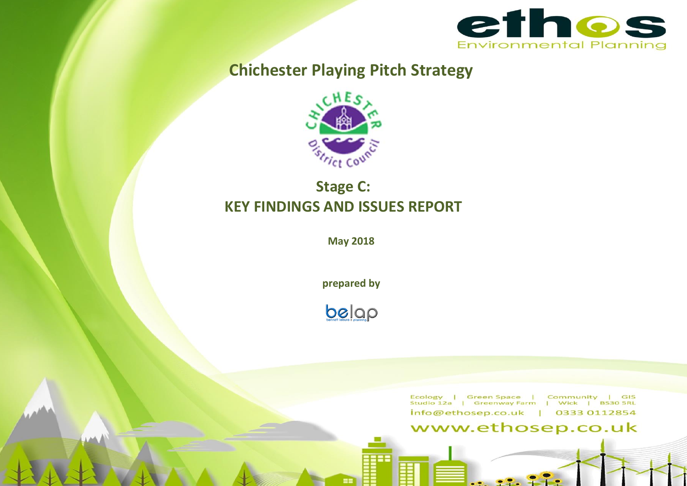

# **Chichester Playing Pitch Strategy**



# **Stage C: KEY FINDINGS AND ISSUES REPORT**

**May 2018**

**prepared by**

**OCCE** Pleasure & Pleaning

Ecology | Green-Space | Community | GIS<br>Studio-12a | Greenway-Farm | Wick | BS30-SRL info@ethosep.co.uk | 0333 0112854

# www.ethosep.co.uk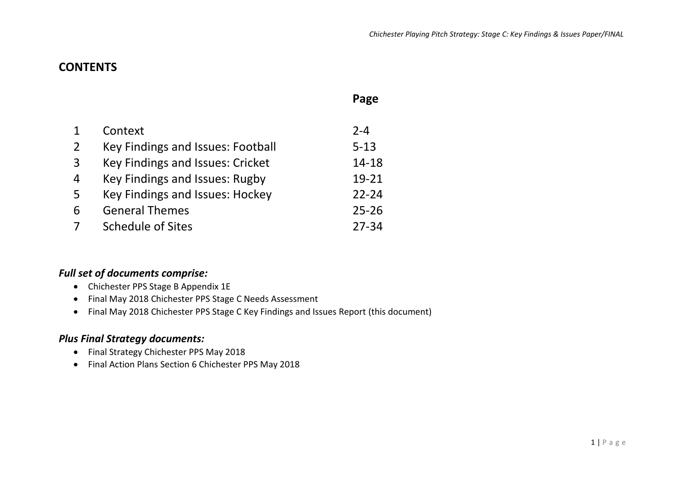# **CONTENTS**

|                |                                   | Page      |
|----------------|-----------------------------------|-----------|
|                |                                   |           |
|                | Context                           | $2 - 4$   |
| 2              | Key Findings and Issues: Football | $5 - 13$  |
| $\overline{3}$ | Key Findings and Issues: Cricket  | $14 - 18$ |
| 4              | Key Findings and Issues: Rugby    | 19-21     |
| 5              | Key Findings and Issues: Hockey   | $22 - 24$ |
| 6              | <b>General Themes</b>             | $25 - 26$ |
|                | Schedule of Sites                 | 27-34     |

## *Full set of documents comprise:*

- Chichester PPS Stage B Appendix 1E
- Final May 2018 Chichester PPS Stage C Needs Assessment
- Final May 2018 Chichester PPS Stage C Key Findings and Issues Report (this document)

## *Plus Final Strategy documents:*

- Final Strategy Chichester PPS May 2018
- Final Action Plans Section 6 Chichester PPS May 2018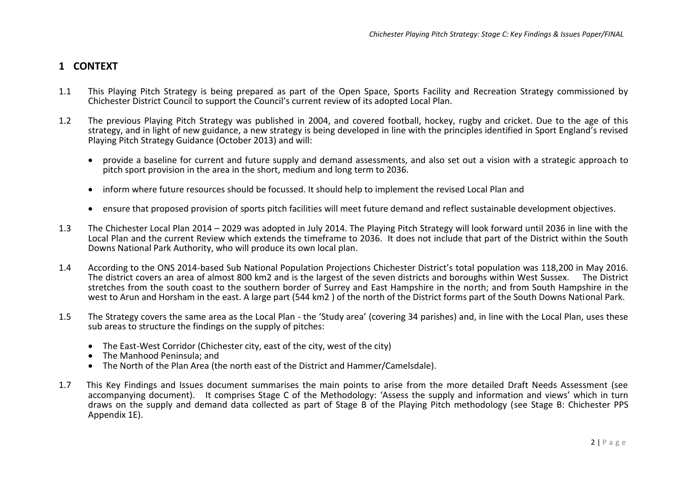## **1 CONTEXT**

- 1.1 This Playing Pitch Strategy is being prepared as part of the Open Space, Sports Facility and Recreation Strategy commissioned by Chichester District Council to support the Council's current review of its adopted Local Plan.
- 1.2 The previous Playing Pitch Strategy was published in 2004, and covered football, hockey, rugby and cricket. Due to the age of this strategy, and in light of new guidance, a new strategy is being developed in line with the principles identified in Sport England's revised Playing Pitch Strategy Guidance (October 2013) and will:
	- provide a baseline for current and future supply and demand assessments, and also set out a vision with a strategic approach to pitch sport provision in the area in the short, medium and long term to 2036.
	- inform where future resources should be focussed. It should help to implement the revised Local Plan and
	- ensure that proposed provision of sports pitch facilities will meet future demand and reflect sustainable development objectives.
- 1.3 The Chichester Local Plan 2014 2029 was adopted in July 2014. The Playing Pitch Strategy will look forward until 2036 in line with the Local Plan and the current Review which extends the timeframe to 2036. It does not include that part of the District within the South Downs National Park Authority, who will produce its own local plan.
- 1.4 According to the ONS 2014-based Sub National Population Projections Chichester District's total population was 118,200 in May 2016. The district covers an area of almost 800 km2 and is the largest of the seven districts and boroughs within West Sussex. The District stretches from the south coast to the southern border of Surrey and East Hampshire in the north; and from South Hampshire in the west to Arun and Horsham in the east. A large part (544 km2 ) of the north of the District forms part of the South Downs National Park.
- 1.5 The Strategy covers the same area as the Local Plan the 'Study area' (covering 34 parishes) and, in line with the Local Plan, uses these sub areas to structure the findings on the supply of pitches:
	- The East-West Corridor (Chichester city, east of the city, west of the city)
	- The Manhood Peninsula; and
	- The North of the Plan Area (the north east of the District and Hammer/Camelsdale).
- 1.7 This Key Findings and Issues document summarises the main points to arise from the more detailed Draft Needs Assessment (see accompanying document). It comprises Stage C of the Methodology: 'Assess the supply and information and views' which in turn draws on the supply and demand data collected as part of Stage B of the Playing Pitch methodology (see Stage B: Chichester PPS Appendix 1E).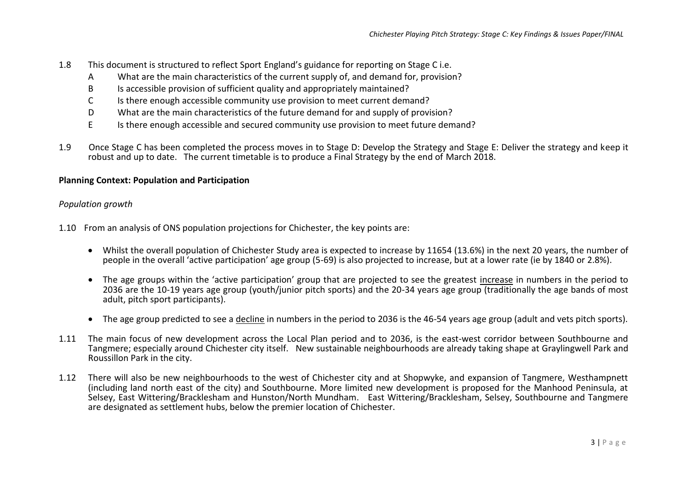- 1.8 This document is structured to reflect Sport England's guidance for reporting on Stage C i.e.
	- A What are the main characteristics of the current supply of, and demand for, provision?
	- B Is accessible provision of sufficient quality and appropriately maintained?
	- C Is there enough accessible community use provision to meet current demand?
	- D What are the main characteristics of the future demand for and supply of provision?
	- E Is there enough accessible and secured community use provision to meet future demand?
- 1.9 Once Stage C has been completed the process moves in to Stage D: Develop the Strategy and Stage E: Deliver the strategy and keep it robust and up to date. The current timetable is to produce a Final Strategy by the end of March 2018.

#### **Planning Context: Population and Participation**

#### *Population growth*

1.10 From an analysis of ONS population projections for Chichester, the key points are:

- Whilst the overall population of Chichester Study area is expected to increase by 11654 (13.6%) in the next 20 years, the number of people in the overall 'active participation' age group (5-69) is also projected to increase, but at a lower rate (ie by 1840 or 2.8%).
- The age groups within the 'active participation' group that are projected to see the greatest increase in numbers in the period to 2036 are the 10-19 years age group (youth/junior pitch sports) and the 20-34 years age group (traditionally the age bands of most adult, pitch sport participants).
- The age group predicted to see a decline in numbers in the period to 2036 is the 46-54 years age group (adult and vets pitch sports).
- 1.11 The main focus of new development across the Local Plan period and to 2036, is the east-west corridor between Southbourne and Tangmere; especially around Chichester city itself. New sustainable neighbourhoods are already taking shape at Graylingwell Park and Roussillon Park in the city.
- 1.12 There will also be new neighbourhoods to the west of Chichester city and at Shopwyke, and expansion of Tangmere, Westhampnett (including land north east of the city) and Southbourne. More limited new development is proposed for the Manhood Peninsula, at Selsey, East Wittering/Bracklesham and Hunston/North Mundham. East Wittering/Bracklesham, Selsey, Southbourne and Tangmere are designated as settlement hubs, below the premier location of Chichester.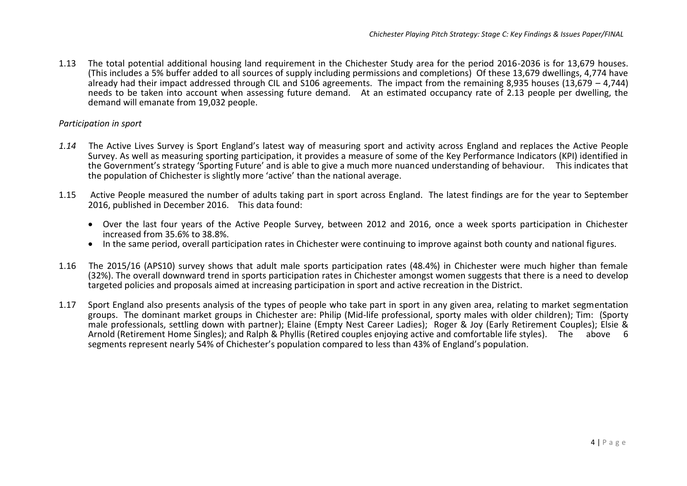1.13 The total potential additional housing land requirement in the Chichester Study area for the period 2016-2036 is for 13,679 houses. (This includes a 5% buffer added to all sources of supply including permissions and completions) Of these 13,679 dwellings, 4,774 have already had their impact addressed through CIL and S106 agreements. The impact from the remaining 8,935 houses (13,679 – 4,744) needs to be taken into account when assessing future demand. At an estimated occupancy rate of 2.13 people per dwelling, the demand will emanate from 19,032 people.

#### *Participation in sport*

- *1.14* The Active Lives Survey is Sport England's latest way of measuring sport and activity across England and replaces the Active People Survey. As well as measuring sporting participation, it provides a measure of some of the Key Performance Indicators (KPI) identified in the Government's strategy 'Sporting Future' and is able to give a much more nuanced understanding of behaviour. This indicates that the population of Chichester is slightly more 'active' than the national average.
- 1.15 Active People measured the number of adults taking part in sport across England. The latest findings are for the year to September 2016, published in December 2016. This data found:
	- Over the last four years of the Active People Survey, between 2012 and 2016, once a week sports participation in Chichester increased from 35.6% to 38.8%.
	- In the same period, overall participation rates in Chichester were continuing to improve against both county and national figures.
- 1.16 The 2015/16 (APS10) survey shows that adult male sports participation rates (48.4%) in Chichester were much higher than female (32%). The overall downward trend in sports participation rates in Chichester amongst women suggests that there is a need to develop targeted policies and proposals aimed at increasing participation in sport and active recreation in the District.
- 1.17 Sport England also presents analysis of the types of people who take part in sport in any given area, relating to market segmentation groups. The dominant market groups in Chichester are: Philip (Mid-life professional, sporty males with older children); Tim: (Sporty male professionals, settling down with partner); Elaine (Empty Nest Career Ladies); Roger & Joy (Early Retirement Couples); Elsie & Arnold (Retirement Home Singles); and Ralph & Phyllis (Retired couples enjoying active and comfortable life styles). The above 6 segments represent nearly 54% of Chichester's population compared to less than 43% of England's population.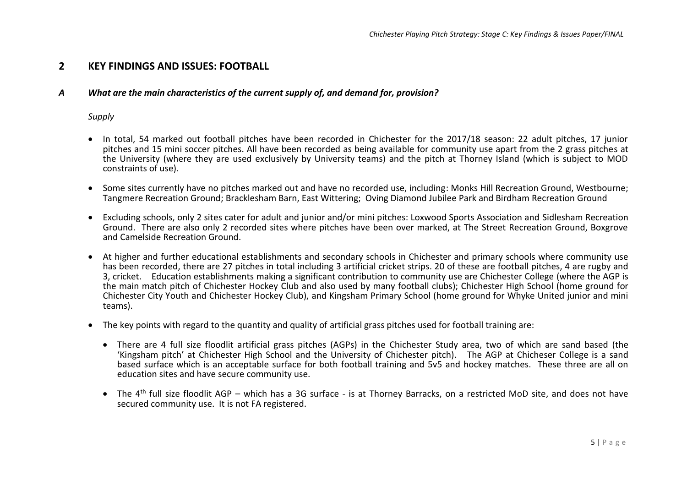## **2 KEY FINDINGS AND ISSUES: FOOTBALL**

#### *A What are the main characteristics of the current supply of, and demand for, provision?*

#### *Supply*

- In total, 54 marked out football pitches have been recorded in Chichester for the 2017/18 season: 22 adult pitches, 17 junior pitches and 15 mini soccer pitches. All have been recorded as being available for community use apart from the 2 grass pitches at the University (where they are used exclusively by University teams) and the pitch at Thorney Island (which is subject to MOD constraints of use).
- Some sites currently have no pitches marked out and have no recorded use, including: Monks Hill Recreation Ground, Westbourne; Tangmere Recreation Ground; Bracklesham Barn, East Wittering; Oving Diamond Jubilee Park and Birdham Recreation Ground
- Excluding schools, only 2 sites cater for adult and junior and/or mini pitches: Loxwood Sports Association and Sidlesham Recreation Ground. There are also only 2 recorded sites where pitches have been over marked, at The Street Recreation Ground, Boxgrove and Camelside Recreation Ground.
- At higher and further educational establishments and secondary schools in Chichester and primary schools where community use has been recorded, there are 27 pitches in total including 3 artificial cricket strips. 20 of these are football pitches, 4 are rugby and 3, cricket. Education establishments making a significant contribution to community use are Chichester College (where the AGP is the main match pitch of Chichester Hockey Club and also used by many football clubs); Chichester High School (home ground for Chichester City Youth and Chichester Hockey Club), and Kingsham Primary School (home ground for Whyke United junior and mini teams).
- The key points with regard to the quantity and quality of artificial grass pitches used for football training are:
	- There are 4 full size floodlit artificial grass pitches (AGPs) in the Chichester Study area, two of which are sand based (the 'Kingsham pitch' at Chichester High School and the University of Chichester pitch). The AGP at Chicheser College is a sand based surface which is an acceptable surface for both football training and 5v5 and hockey matches. These three are all on education sites and have secure community use.
	- The 4<sup>th</sup> full size floodlit AGP which has a 3G surface is at Thorney Barracks, on a restricted MoD site, and does not have secured community use. It is not FA registered.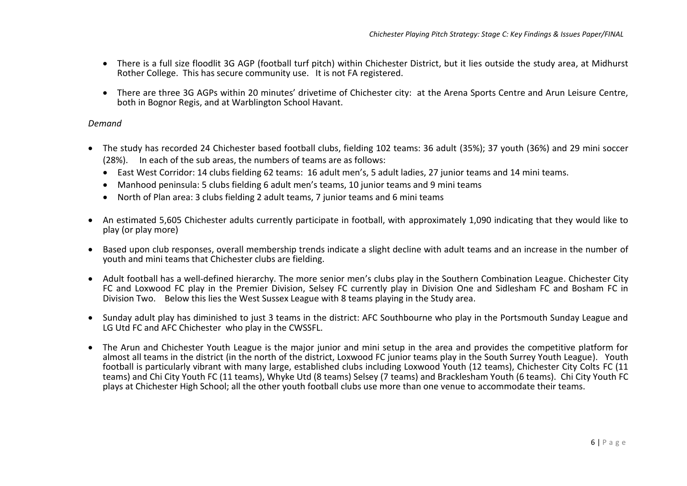- There is a full size floodlit 3G AGP (football turf pitch) within Chichester District, but it lies outside the study area, at Midhurst Rother College. This has secure community use. It is not FA registered.
- There are three 3G AGPs within 20 minutes' drivetime of Chichester city: at the Arena Sports Centre and Arun Leisure Centre, both in Bognor Regis, and at Warblington School Havant.

#### *Demand*

- The study has recorded 24 Chichester based football clubs, fielding 102 teams: 36 adult (35%); 37 youth (36%) and 29 mini soccer (28%). In each of the sub areas, the numbers of teams are as follows:
	- East West Corridor: 14 clubs fielding 62 teams: 16 adult men's, 5 adult ladies, 27 junior teams and 14 mini teams.
	- Manhood peninsula: 5 clubs fielding 6 adult men's teams, 10 junior teams and 9 mini teams
	- North of Plan area: 3 clubs fielding 2 adult teams, 7 junior teams and 6 mini teams
- An estimated 5,605 Chichester adults currently participate in football, with approximately 1,090 indicating that they would like to play (or play more)
- Based upon club responses, overall membership trends indicate a slight decline with adult teams and an increase in the number of youth and mini teams that Chichester clubs are fielding.
- Adult football has a well-defined hierarchy. The more senior men's clubs play in the Southern Combination League. Chichester City FC and Loxwood FC play in the Premier Division, Selsey FC currently play in Division One and Sidlesham FC and Bosham FC in Division Two. Below this lies the West Sussex League with 8 teams playing in the Study area.
- Sunday adult play has diminished to just 3 teams in the district: AFC Southbourne who play in the Portsmouth Sunday League and LG Utd FC and AFC Chichester who play in the CWSSFL.
- The Arun and Chichester Youth League is the major junior and mini setup in the area and provides the competitive platform for almost all teams in the district (in the north of the district, Loxwood FC junior teams play in the South Surrey Youth League). Youth football is particularly vibrant with many large, established clubs including Loxwood Youth (12 teams), Chichester City Colts FC (11 teams) and Chi City Youth FC (11 teams), Whyke Utd (8 teams) Selsey (7 teams) and Bracklesham Youth (6 teams). Chi City Youth FC plays at Chichester High School; all the other youth football clubs use more than one venue to accommodate their teams.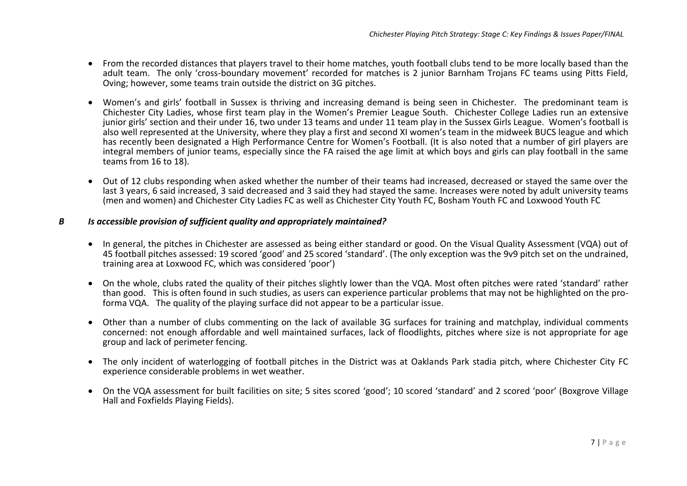- From the recorded distances that players travel to their home matches, youth football clubs tend to be more locally based than the adult team. The only 'cross-boundary movement' recorded for matches is 2 junior Barnham Trojans FC teams using Pitts Field, Oving; however, some teams train outside the district on 3G pitches.
- Women's and girls' football in Sussex is thriving and increasing demand is being seen in Chichester. The predominant team is Chichester City Ladies, whose first team play in the Women's Premier League South. Chichester College Ladies run an extensive junior girls' section and their under 16, two under 13 teams and under 11 team play in the Sussex Girls League. Women's football is also well represented at the University, where they play a first and second XI women's team in the midweek BUCS league and which has recently been designated a High Performance Centre for Women's Football. (It is also noted that a number of girl players are integral members of junior teams, especially since the FA raised the age limit at which boys and girls can play football in the same teams from 16 to 18).
- Out of 12 clubs responding when asked whether the number of their teams had increased, decreased or stayed the same over the last 3 years, 6 said increased, 3 said decreased and 3 said they had stayed the same. Increases were noted by adult university teams (men and women) and Chichester City Ladies FC as well as Chichester City Youth FC, Bosham Youth FC and Loxwood Youth FC

#### *B Is accessible provision of sufficient quality and appropriately maintained?*

- In general, the pitches in Chichester are assessed as being either standard or good. On the Visual Quality Assessment (VQA) out of 45 football pitches assessed: 19 scored 'good' and 25 scored 'standard'. (The only exception was the 9v9 pitch set on the undrained, training area at Loxwood FC, which was considered 'poor')
- On the whole, clubs rated the quality of their pitches slightly lower than the VQA. Most often pitches were rated 'standard' rather than good. This is often found in such studies, as users can experience particular problems that may not be highlighted on the proforma VQA. The quality of the playing surface did not appear to be a particular issue.
- Other than a number of clubs commenting on the lack of available 3G surfaces for training and matchplay, individual comments concerned: not enough affordable and well maintained surfaces, lack of floodlights, pitches where size is not appropriate for age group and lack of perimeter fencing.
- The only incident of waterlogging of football pitches in the District was at Oaklands Park stadia pitch, where Chichester City FC experience considerable problems in wet weather.
- On the VQA assessment for built facilities on site; 5 sites scored 'good'; 10 scored 'standard' and 2 scored 'poor' (Boxgrove Village Hall and Foxfields Playing Fields).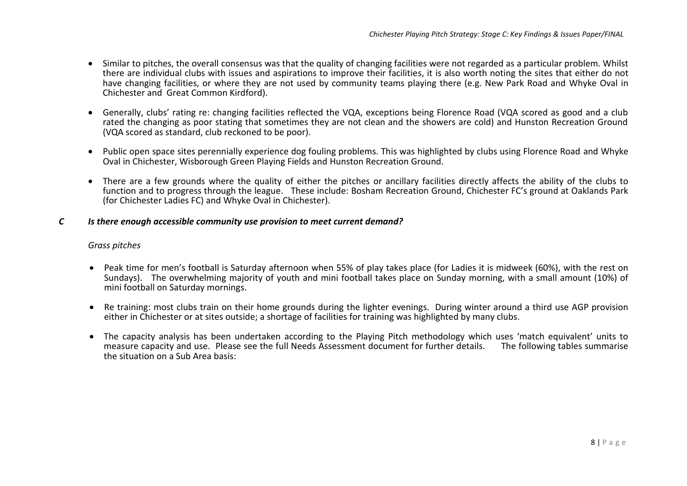- Similar to pitches, the overall consensus was that the quality of changing facilities were not regarded as a particular problem. Whilst there are individual clubs with issues and aspirations to improve their facilities, it is also worth noting the sites that either do not have changing facilities, or where they are not used by community teams playing there (e.g. New Park Road and Whyke Oval in Chichester and Great Common Kirdford).
- Generally, clubs' rating re: changing facilities reflected the VQA, exceptions being Florence Road (VQA scored as good and a club rated the changing as poor stating that sometimes they are not clean and the showers are cold) and Hunston Recreation Ground (VQA scored as standard, club reckoned to be poor).
- Public open space sites perennially experience dog fouling problems. This was highlighted by clubs using Florence Road and Whyke Oval in Chichester, Wisborough Green Playing Fields and Hunston Recreation Ground.
- There are a few grounds where the quality of either the pitches or ancillary facilities directly affects the ability of the clubs to function and to progress through the league. These include: Bosham Recreation Ground, Chichester FC's ground at Oaklands Park (for Chichester Ladies FC) and Whyke Oval in Chichester).

#### *C Is there enough accessible community use provision to meet current demand?*

#### *Grass pitches*

- Peak time for men's football is Saturday afternoon when 55% of play takes place (for Ladies it is midweek (60%), with the rest on Sundays). The overwhelming majority of youth and mini football takes place on Sunday morning, with a small amount (10%) of mini football on Saturday mornings.
- Re training: most clubs train on their home grounds during the lighter evenings. During winter around a third use AGP provision either in Chichester or at sites outside; a shortage of facilities for training was highlighted by many clubs.
- The capacity analysis has been undertaken according to the Playing Pitch methodology which uses 'match equivalent' units to measure capacity and use. Please see the full Needs Assessment document for further details. the situation on a Sub Area basis: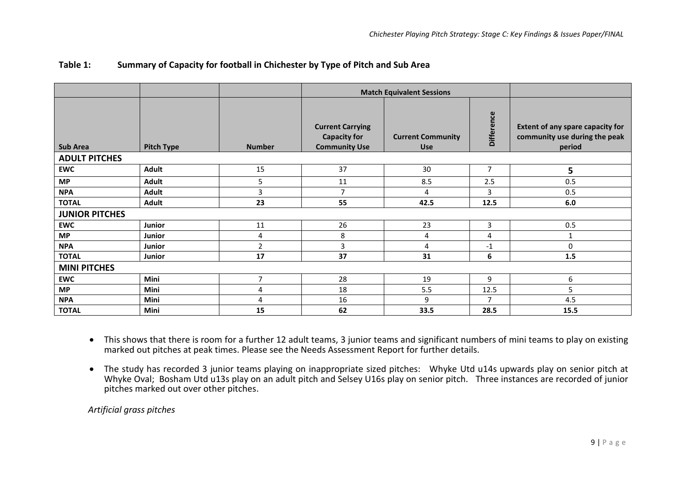|                       |                   |                |                                                                        | <b>Match Equivalent Sessions</b>       |                   |                                                                                    |
|-----------------------|-------------------|----------------|------------------------------------------------------------------------|----------------------------------------|-------------------|------------------------------------------------------------------------------------|
| <b>Sub Area</b>       | <b>Pitch Type</b> | <b>Number</b>  | <b>Current Carrying</b><br><b>Capacity for</b><br><b>Community Use</b> | <b>Current Community</b><br><b>Use</b> | <b>Difference</b> | <b>Extent of any spare capacity for</b><br>community use during the peak<br>period |
| <b>ADULT PITCHES</b>  |                   |                |                                                                        |                                        |                   |                                                                                    |
| <b>EWC</b>            | <b>Adult</b>      | 15             | 37                                                                     | 30                                     | $\overline{7}$    | 5                                                                                  |
| <b>MP</b>             | Adult             | 5              | 11                                                                     | 8.5                                    | 2.5               | 0.5                                                                                |
| <b>NPA</b>            | Adult             | 3              | $\overline{7}$                                                         | 4                                      | 3                 | 0.5                                                                                |
| <b>TOTAL</b>          | Adult             | 23             | 55                                                                     | 42.5                                   | 12.5              | 6.0                                                                                |
| <b>JUNIOR PITCHES</b> |                   |                |                                                                        |                                        |                   |                                                                                    |
| <b>EWC</b>            | Junior            | 11             | 26                                                                     | 23                                     | 3                 | 0.5                                                                                |
| <b>MP</b>             | Junior            | 4              | 8                                                                      | 4                                      | 4                 |                                                                                    |
| <b>NPA</b>            | Junior            | $\overline{2}$ | 3                                                                      | 4                                      | $-1$              | $\Omega$                                                                           |
| <b>TOTAL</b>          | Junior            | 17             | 37                                                                     | 31                                     | 6                 | 1.5                                                                                |
| <b>MINI PITCHES</b>   |                   |                |                                                                        |                                        |                   |                                                                                    |
| <b>EWC</b>            | Mini              | $\overline{7}$ | 28                                                                     | 19                                     | 9                 | 6                                                                                  |
| <b>MP</b>             | Mini              | 4              | 18                                                                     | 5.5                                    | 12.5              | 5                                                                                  |
| <b>NPA</b>            | Mini              | $\overline{4}$ | 16                                                                     | 9                                      | $\overline{7}$    | 4.5                                                                                |
| <b>TOTAL</b>          | Mini              | 15             | 62                                                                     | 33.5                                   | 28.5              | 15.5                                                                               |

## **Table 1: Summary of Capacity for football in Chichester by Type of Pitch and Sub Area**

• This shows that there is room for a further 12 adult teams, 3 junior teams and significant numbers of mini teams to play on existing marked out pitches at peak times. Please see the Needs Assessment Report for further details.

• The study has recorded 3 junior teams playing on inappropriate sized pitches: Whyke Utd u14s upwards play on senior pitch at Whyke Oval; Bosham Utd u13s play on an adult pitch and Selsey U16s play on senior pitch. Three instances are recorded of junior pitches marked out over other pitches.

*Artificial grass pitches*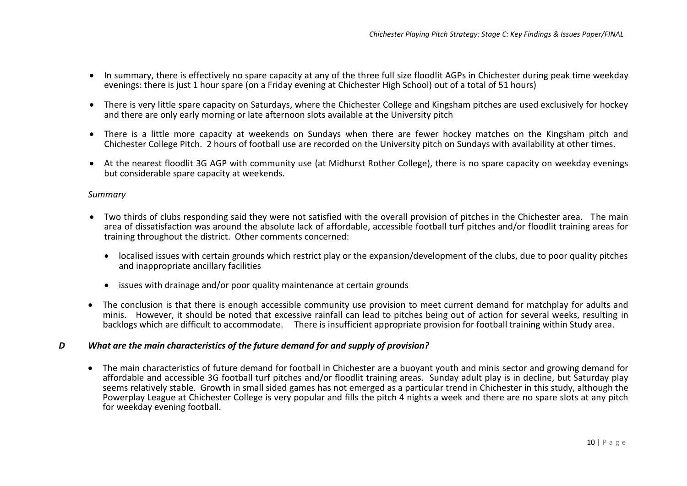- In summary, there is effectively no spare capacity at any of the three full size floodlit AGPs in Chichester during peak time weekday evenings: there is just 1 hour spare (on a Friday evening at Chichester High School) out of a total of 51 hours)
- There is very little spare capacity on Saturdays, where the Chichester College and Kingsham pitches are used exclusively for hockey and there are only early morning or late afternoon slots available at the University pitch
- There is a little more capacity at weekends on Sundays when there are fewer hockey matches on the Kingsham pitch and Chichester College Pitch. 2 hours of football use are recorded on the University pitch on Sundays with availability at other times.
- At the nearest floodlit 3G AGP with community use (at Midhurst Rother College), there is no spare capacity on weekday evenings but considerable spare capacity at weekends.

#### *Summary*

- Two thirds of clubs responding said they were not satisfied with the overall provision of pitches in the Chichester area. The main area of dissatisfaction was around the absolute lack of affordable, accessible football turf pitches and/or floodlit training areas for training throughout the district. Other comments concerned:
	- localised issues with certain grounds which restrict play or the expansion/development of the clubs, due to poor quality pitches and inappropriate ancillary facilities
	- issues with drainage and/or poor quality maintenance at certain grounds
- The conclusion is that there is enough accessible community use provision to meet current demand for matchplay for adults and minis. However, it should be noted that excessive rainfall can lead to pitches being out of action for several weeks, resulting in backlogs which are difficult to accommodate. There is insufficient appropriate provision for football training within Study area.

#### *D What are the main characteristics of the future demand for and supply of provision?*

• The main characteristics of future demand for football in Chichester are a buoyant youth and minis sector and growing demand for affordable and accessible 3G football turf pitches and/or floodlit training areas. Sunday adult play is in decline, but Saturday play seems relatively stable. Growth in small sided games has not emerged as a particular trend in Chichester in this study, although the Powerplay League at Chichester College is very popular and fills the pitch 4 nights a week and there are no spare slots at any pitch for weekday evening football.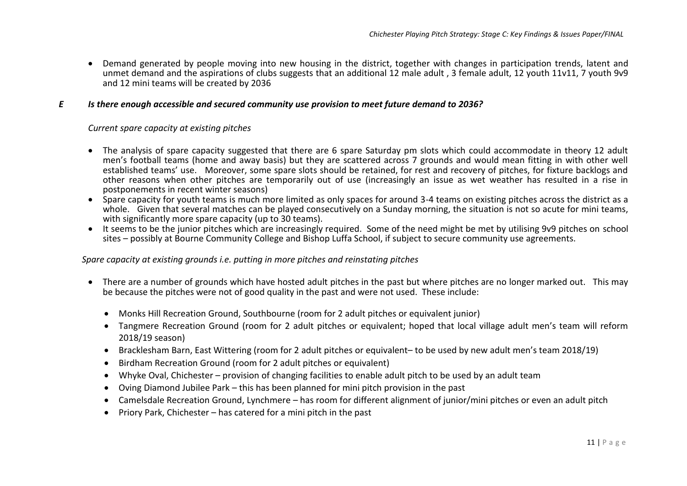• Demand generated by people moving into new housing in the district, together with changes in participation trends, latent and unmet demand and the aspirations of clubs suggests that an additional 12 male adult , 3 female adult, 12 youth 11v11, 7 youth 9v9 and 12 mini teams will be created by 2036

#### *E Is there enough accessible and secured community use provision to meet future demand to 2036?*

#### *Current spare capacity at existing pitches*

- The analysis of spare capacity suggested that there are 6 spare Saturday pm slots which could accommodate in theory 12 adult men's football teams (home and away basis) but they are scattered across 7 grounds and would mean fitting in with other well established teams' use. Moreover, some spare slots should be retained, for rest and recovery of pitches, for fixture backlogs and other reasons when other pitches are temporarily out of use (increasingly an issue as wet weather has resulted in a rise in postponements in recent winter seasons)
- Spare capacity for youth teams is much more limited as only spaces for around 3-4 teams on existing pitches across the district as a whole. Given that several matches can be played consecutively on a Sunday morning, the situation is not so acute for mini teams, with significantly more spare capacity (up to 30 teams).
- It seems to be the junior pitches which are increasingly required. Some of the need might be met by utilising 9v9 pitches on school sites – possibly at Bourne Community College and Bishop Luffa School, if subject to secure community use agreements.

#### *Spare capacity at existing grounds i.e. putting in more pitches and reinstating pitches*

- There are a number of grounds which have hosted adult pitches in the past but where pitches are no longer marked out. This may be because the pitches were not of good quality in the past and were not used. These include:
	- Monks Hill Recreation Ground. Southbourne (room for 2 adult pitches or equivalent junior)
	- Tangmere Recreation Ground (room for 2 adult pitches or equivalent; hoped that local village adult men's team will reform 2018/19 season)
	- Bracklesham Barn, East Wittering (room for 2 adult pitches or equivalent– to be used by new adult men's team 2018/19)
	- Birdham Recreation Ground (room for 2 adult pitches or equivalent)
	- Whyke Oval, Chichester provision of changing facilities to enable adult pitch to be used by an adult team
	- Oving Diamond Jubilee Park this has been planned for mini pitch provision in the past
	- Camelsdale Recreation Ground, Lynchmere has room for different alignment of junior/mini pitches or even an adult pitch
	- Priory Park, Chichester has catered for a mini pitch in the past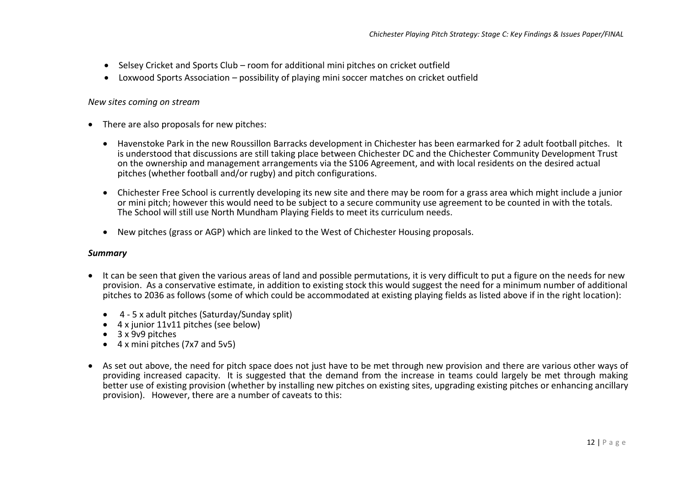- Selsey Cricket and Sports Club room for additional mini pitches on cricket outfield
- Loxwood Sports Association possibility of playing mini soccer matches on cricket outfield

#### *New sites coming on stream*

- There are also proposals for new pitches:
	- Havenstoke Park in the new Roussillon Barracks development in Chichester has been earmarked for 2 adult football pitches. It is understood that discussions are still taking place between Chichester DC and the Chichester Community Development Trust on the ownership and management arrangements via the S106 Agreement, and with local residents on the desired actual pitches (whether football and/or rugby) and pitch configurations.
	- Chichester Free School is currently developing its new site and there may be room for a grass area which might include a junior or mini pitch; however this would need to be subject to a secure community use agreement to be counted in with the totals. The School will still use North Mundham Playing Fields to meet its curriculum needs.
	- New pitches (grass or AGP) which are linked to the West of Chichester Housing proposals.

#### *Summary*

- It can be seen that given the various areas of land and possible permutations, it is very difficult to put a figure on the needs for new provision. As a conservative estimate, in addition to existing stock this would suggest the need for a minimum number of additional pitches to 2036 as follows (some of which could be accommodated at existing playing fields as listed above if in the right location):
	- 4 5 x adult pitches (Saturday/Sunday split)
	- 4 x junior 11v11 pitches (see below)
	- 3 x 9v9 pitches
	- 4 x mini pitches (7x7 and 5v5)
- As set out above, the need for pitch space does not just have to be met through new provision and there are various other ways of providing increased capacity. It is suggested that the demand from the increase in teams could largely be met through making better use of existing provision (whether by installing new pitches on existing sites, upgrading existing pitches or enhancing ancillary provision). However, there are a number of caveats to this: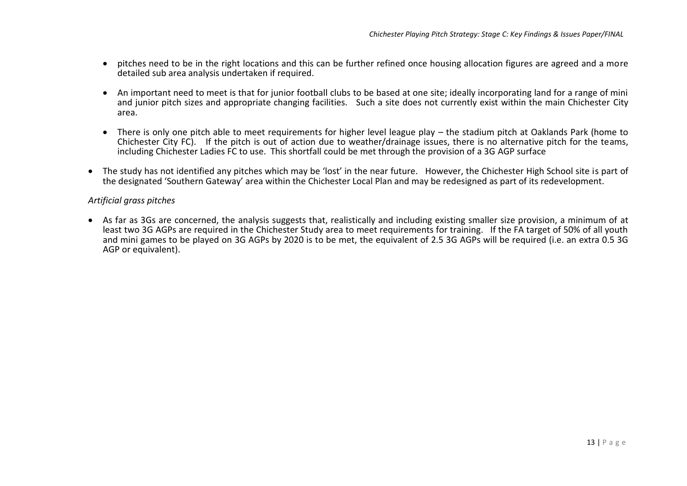- pitches need to be in the right locations and this can be further refined once housing allocation figures are agreed and a more detailed sub area analysis undertaken if required.
- An important need to meet is that for junior football clubs to be based at one site; ideally incorporating land for a range of mini and junior pitch sizes and appropriate changing facilities. Such a site does not currently exist within the main Chichester City area.
- There is only one pitch able to meet requirements for higher level league play the stadium pitch at Oaklands Park (home to Chichester City FC). If the pitch is out of action due to weather/drainage issues, there is no alternative pitch for the teams, including Chichester Ladies FC to use. This shortfall could be met through the provision of a 3G AGP surface
- The study has not identified any pitches which may be 'lost' in the near future. However, the Chichester High School site is part of the designated 'Southern Gateway' area within the Chichester Local Plan and may be redesigned as part of its redevelopment.

### *Artificial grass pitches*

• As far as 3Gs are concerned, the analysis suggests that, realistically and including existing smaller size provision, a minimum of at least two 3G AGPs are required in the Chichester Study area to meet requirements for training. If the FA target of 50% of all youth and mini games to be played on 3G AGPs by 2020 is to be met, the equivalent of 2.5 3G AGPs will be required (i.e. an extra 0.5 3G AGP or equivalent).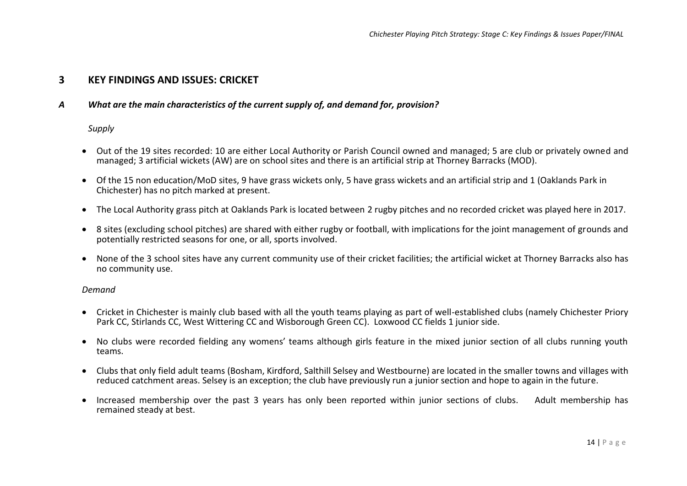## **3 KEY FINDINGS AND ISSUES: CRICKET**

#### *A What are the main characteristics of the current supply of, and demand for, provision?*

#### *Supply*

- Out of the 19 sites recorded: 10 are either Local Authority or Parish Council owned and managed; 5 are club or privately owned and managed; 3 artificial wickets (AW) are on school sites and there is an artificial strip at Thorney Barracks (MOD).
- Of the 15 non education/MoD sites, 9 have grass wickets only, 5 have grass wickets and an artificial strip and 1 (Oaklands Park in Chichester) has no pitch marked at present.
- The Local Authority grass pitch at Oaklands Park is located between 2 rugby pitches and no recorded cricket was played here in 2017.
- 8 sites (excluding school pitches) are shared with either rugby or football, with implications for the joint management of grounds and potentially restricted seasons for one, or all, sports involved.
- None of the 3 school sites have any current community use of their cricket facilities; the artificial wicket at Thorney Barracks also has no community use.

#### *Demand*

- Cricket in Chichester is mainly club based with all the youth teams playing as part of well-established clubs (namely Chichester Priory Park CC, Stirlands CC, West Wittering CC and Wisborough Green CC). Loxwood CC fields 1 junior side.
- No clubs were recorded fielding any womens' teams although girls feature in the mixed junior section of all clubs running youth teams.
- Clubs that only field adult teams (Bosham, Kirdford, Salthill Selsey and Westbourne) are located in the smaller towns and villages with reduced catchment areas. Selsey is an exception; the club have previously run a junior section and hope to again in the future.
- Increased membership over the past 3 years has only been reported within junior sections of clubs. Adult membership has remained steady at best.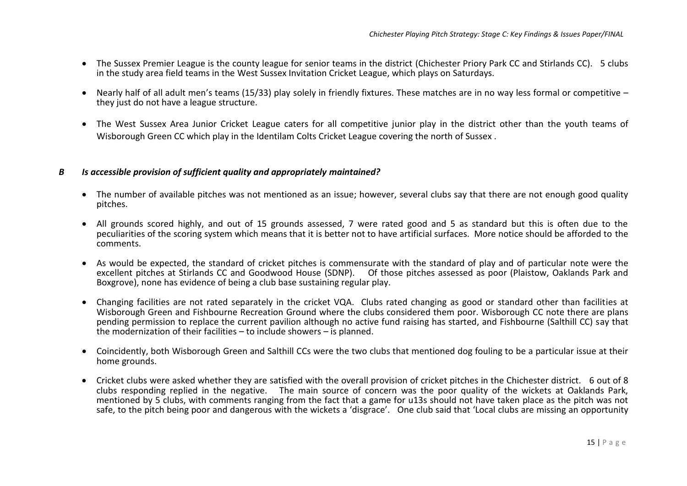- The Sussex Premier League is the county league for senior teams in the district (Chichester Priory Park CC and Stirlands CC). 5 clubs in the study area field teams in the West Sussex Invitation Cricket League, which plays on Saturdays.
- Nearly half of all adult men's teams (15/33) play solely in friendly fixtures. These matches are in no way less formal or competitive they just do not have a league structure.
- The West Sussex Area Junior Cricket League caters for all competitive junior play in the district other than the youth teams of Wisborough Green CC which play in the Identilam Colts Cricket League covering the north of Sussex .

#### *B Is accessible provision of sufficient quality and appropriately maintained?*

- The number of available pitches was not mentioned as an issue; however, several clubs say that there are not enough good quality pitches.
- All grounds scored highly, and out of 15 grounds assessed, 7 were rated good and 5 as standard but this is often due to the peculiarities of the scoring system which means that it is better not to have artificial surfaces. More notice should be afforded to the comments.
- As would be expected, the standard of cricket pitches is commensurate with the standard of play and of particular note were the excellent pitches at Stirlands CC and Goodwood House (SDNP). Of those pitches assessed as poor (Plaistow, Oaklands Park and Boxgrove), none has evidence of being a club base sustaining regular play.
- Changing facilities are not rated separately in the cricket VQA. Clubs rated changing as good or standard other than facilities at Wisborough Green and Fishbourne Recreation Ground where the clubs considered them poor. Wisborough CC note there are plans pending permission to replace the current pavilion although no active fund raising has started, and Fishbourne (Salthill CC) say that the modernization of their facilities – to include showers – is planned.
- Coincidently, both Wisborough Green and Salthill CCs were the two clubs that mentioned dog fouling to be a particular issue at their home grounds.
- Cricket clubs were asked whether they are satisfied with the overall provision of cricket pitches in the Chichester district. 6 out of 8 clubs responding replied in the negative. The main source of concern was the poor quality of the wickets at Oaklands Park, mentioned by 5 clubs, with comments ranging from the fact that a game for u13s should not have taken place as the pitch was not safe, to the pitch being poor and dangerous with the wickets a 'disgrace'. One club said that 'Local clubs are missing an opportunity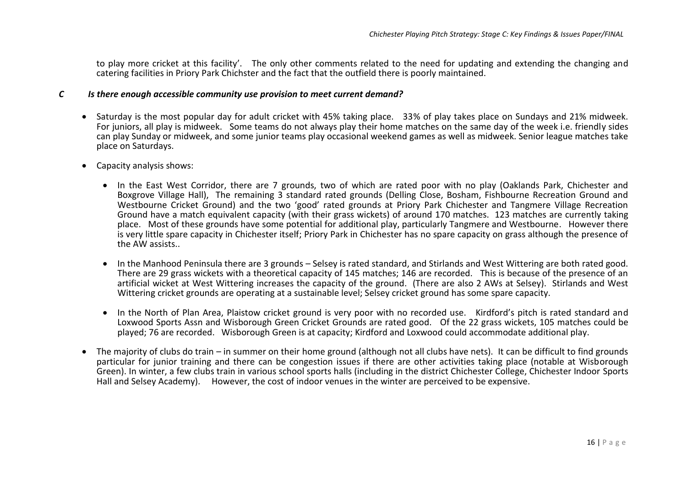to play more cricket at this facility'. The only other comments related to the need for updating and extending the changing and catering facilities in Priory Park Chichster and the fact that the outfield there is poorly maintained.

#### *C Is there enough accessible community use provision to meet current demand?*

- Saturday is the most popular day for adult cricket with 45% taking place. 33% of play takes place on Sundays and 21% midweek. For juniors, all play is midweek. Some teams do not always play their home matches on the same day of the week i.e. friendly sides can play Sunday or midweek, and some junior teams play occasional weekend games as well as midweek. Senior league matches take place on Saturdays.
- Capacity analysis shows:
	- In the East West Corridor, there are 7 grounds, two of which are rated poor with no play (Oaklands Park, Chichester and Boxgrove Village Hall), The remaining 3 standard rated grounds (Delling Close, Bosham, Fishbourne Recreation Ground and Westbourne Cricket Ground) and the two 'good' rated grounds at Priory Park Chichester and Tangmere Village Recreation Ground have a match equivalent capacity (with their grass wickets) of around 170 matches. 123 matches are currently taking place. Most of these grounds have some potential for additional play, particularly Tangmere and Westbourne. However there is very little spare capacity in Chichester itself; Priory Park in Chichester has no spare capacity on grass although the presence of the AW assists..
	- In the Manhood Peninsula there are 3 grounds Selsey is rated standard, and Stirlands and West Wittering are both rated good. There are 29 grass wickets with a theoretical capacity of 145 matches; 146 are recorded. This is because of the presence of an artificial wicket at West Wittering increases the capacity of the ground. (There are also 2 AWs at Selsey). Stirlands and West Wittering cricket grounds are operating at a sustainable level; Selsey cricket ground has some spare capacity.
	- In the North of Plan Area, Plaistow cricket ground is very poor with no recorded use. Kirdford's pitch is rated standard and Loxwood Sports Assn and Wisborough Green Cricket Grounds are rated good. Of the 22 grass wickets, 105 matches could be played; 76 are recorded. Wisborough Green is at capacity; Kirdford and Loxwood could accommodate additional play.
- The majority of clubs do train in summer on their home ground (although not all clubs have nets). It can be difficult to find grounds particular for junior training and there can be congestion issues if there are other activities taking place (notable at Wisborough Green). In winter, a few clubs train in various school sports halls (including in the district Chichester College, Chichester Indoor Sports Hall and Selsey Academy). However, the cost of indoor venues in the winter are perceived to be expensive.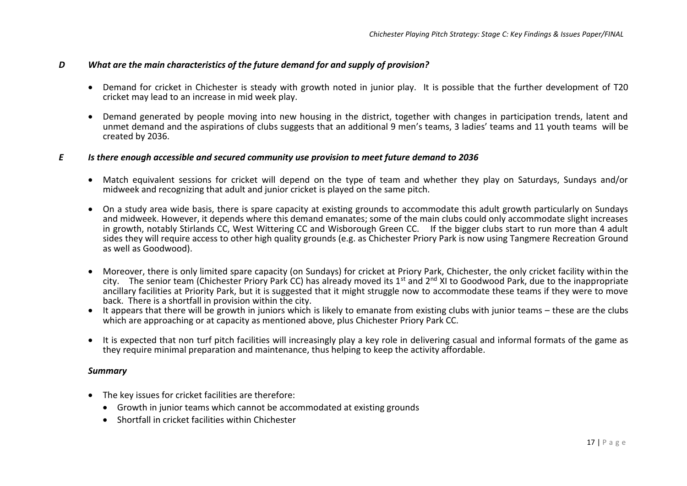#### *D What are the main characteristics of the future demand for and supply of provision?*

- Demand for cricket in Chichester is steady with growth noted in junior play. It is possible that the further development of T20 cricket may lead to an increase in mid week play.
- Demand generated by people moving into new housing in the district, together with changes in participation trends, latent and unmet demand and the aspirations of clubs suggests that an additional 9 men's teams, 3 ladies' teams and 11 youth teams will be created by 2036.

#### *E Is there enough accessible and secured community use provision to meet future demand to 2036*

- Match equivalent sessions for cricket will depend on the type of team and whether they play on Saturdays, Sundays and/or midweek and recognizing that adult and junior cricket is played on the same pitch.
- On a study area wide basis, there is spare capacity at existing grounds to accommodate this adult growth particularly on Sundays and midweek. However, it depends where this demand emanates; some of the main clubs could only accommodate slight increases in growth, notably Stirlands CC, West Wittering CC and Wisborough Green CC. If the bigger clubs start to run more than 4 adult sides they will require access to other high quality grounds (e.g. as Chichester Priory Park is now using Tangmere Recreation Ground as well as Goodwood).
- Moreover, there is only limited spare capacity (on Sundays) for cricket at Priory Park, Chichester, the only cricket facility within the city. The senior team (Chichester Priory Park CC) has already moved its 1<sup>st</sup> and 2<sup>nd</sup> XI to Goodwood Park, due to the inappropriate ancillary facilities at Priority Park, but it is suggested that it might struggle now to accommodate these teams if they were to move back. There is a shortfall in provision within the city.
- It appears that there will be growth in juniors which is likely to emanate from existing clubs with junior teams these are the clubs which are approaching or at capacity as mentioned above, plus Chichester Priory Park CC.
- It is expected that non turf pitch facilities will increasingly play a key role in delivering casual and informal formats of the game as they require minimal preparation and maintenance, thus helping to keep the activity affordable.

#### *Summary*

- The key issues for cricket facilities are therefore:
	- Growth in junior teams which cannot be accommodated at existing grounds
	- Shortfall in cricket facilities within Chichester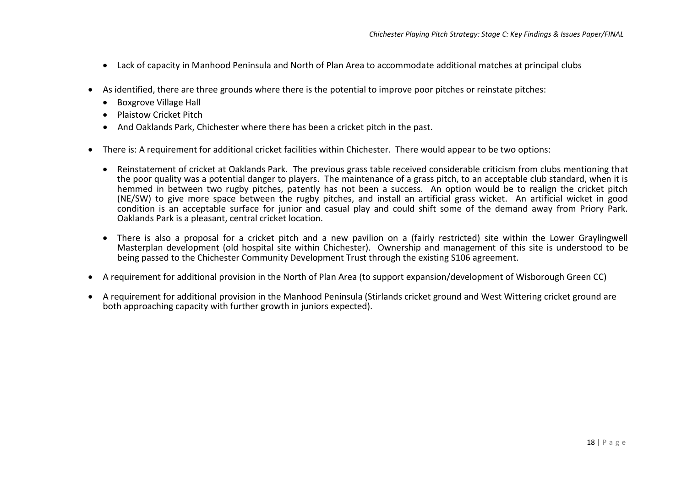- Lack of capacity in Manhood Peninsula and North of Plan Area to accommodate additional matches at principal clubs
- As identified, there are three grounds where there is the potential to improve poor pitches or reinstate pitches:
	- Boxgrove Village Hall
	- Plaistow Cricket Pitch
	- And Oaklands Park, Chichester where there has been a cricket pitch in the past.
- There is: A requirement for additional cricket facilities within Chichester. There would appear to be two options:
	- Reinstatement of cricket at Oaklands Park. The previous grass table received considerable criticism from clubs mentioning that the poor quality was a potential danger to players. The maintenance of a grass pitch, to an acceptable club standard, when it is hemmed in between two rugby pitches, patently has not been a success. An option would be to realign the cricket pitch (NE/SW) to give more space between the rugby pitches, and install an artificial grass wicket. An artificial wicket in good condition is an acceptable surface for junior and casual play and could shift some of the demand away from Priory Park. Oaklands Park is a pleasant, central cricket location.
	- There is also a proposal for a cricket pitch and a new pavilion on a (fairly restricted) site within the Lower Graylingwell Masterplan development (old hospital site within Chichester). Ownership and management of this site is understood to be being passed to the Chichester Community Development Trust through the existing S106 agreement.
- A requirement for additional provision in the North of Plan Area (to support expansion/development of Wisborough Green CC)
- A requirement for additional provision in the Manhood Peninsula (Stirlands cricket ground and West Wittering cricket ground are both approaching capacity with further growth in juniors expected).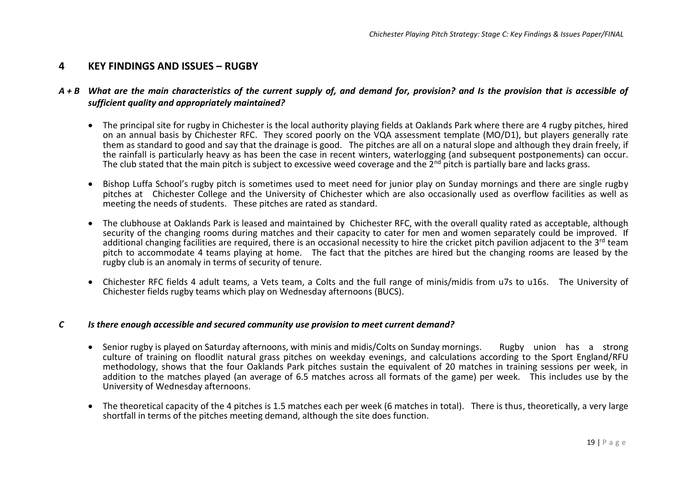## **4 KEY FINDINGS AND ISSUES – RUGBY**

#### *A + B What are the main characteristics of the current supply of, and demand for, provision? and Is the provision that is accessible of sufficient quality and appropriately maintained?*

- The principal site for rugby in Chichester is the local authority playing fields at Oaklands Park where there are 4 rugby pitches, hired on an annual basis by Chichester RFC. They scored poorly on the VQA assessment template (MO/D1), but players generally rate them as standard to good and say that the drainage is good. The pitches are all on a natural slope and although they drain freely, if the rainfall is particularly heavy as has been the case in recent winters, waterlogging (and subsequent postponements) can occur. The club stated that the main pitch is subject to excessive weed coverage and the  $2^{nd}$  pitch is partially bare and lacks grass.
- Bishop Luffa School's rugby pitch is sometimes used to meet need for junior play on Sunday mornings and there are single rugby pitches at Chichester College and the University of Chichester which are also occasionally used as overflow facilities as well as meeting the needs of students. These pitches are rated as standard.
- The clubhouse at Oaklands Park is leased and maintained by Chichester RFC, with the overall quality rated as acceptable, although security of the changing rooms during matches and their capacity to cater for men and women separately could be improved. If additional changing facilities are required, there is an occasional necessity to hire the cricket pitch pavilion adjacent to the 3<sup>rd</sup> team pitch to accommodate 4 teams playing at home. The fact that the pitches are hired but the changing rooms are leased by the rugby club is an anomaly in terms of security of tenure.
- Chichester RFC fields 4 adult teams, a Vets team, a Colts and the full range of minis/midis from u7s to u16s. The University of Chichester fields rugby teams which play on Wednesday afternoons (BUCS).

#### *C Is there enough accessible and secured community use provision to meet current demand?*

- Senior rugby is played on Saturday afternoons, with minis and midis/Colts on Sunday mornings. Rugby union has a strong culture of training on floodlit natural grass pitches on weekday evenings, and calculations according to the Sport England/RFU methodology, shows that the four Oaklands Park pitches sustain the equivalent of 20 matches in training sessions per week, in addition to the matches played (an average of 6.5 matches across all formats of the game) per week. This includes use by the University of Wednesday afternoons.
- The theoretical capacity of the 4 pitches is 1.5 matches each per week (6 matches in total). There is thus, theoretically, a very large shortfall in terms of the pitches meeting demand, although the site does function.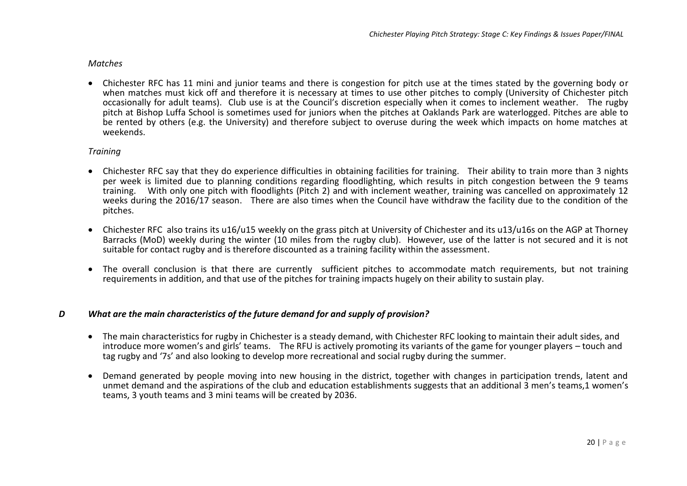#### *Matches*

• Chichester RFC has 11 mini and junior teams and there is congestion for pitch use at the times stated by the governing body or when matches must kick off and therefore it is necessary at times to use other pitches to comply (University of Chichester pitch occasionally for adult teams). Club use is at the Council's discretion especially when it comes to inclement weather. The rugby pitch at Bishop Luffa School is sometimes used for juniors when the pitches at Oaklands Park are waterlogged. Pitches are able to be rented by others (e.g. the University) and therefore subject to overuse during the week which impacts on home matches at weekends.

#### *Training*

- Chichester RFC say that they do experience difficulties in obtaining facilities for training. Their ability to train more than 3 nights per week is limited due to planning conditions regarding floodlighting, which results in pitch congestion between the 9 teams training. With only one pitch with floodlights (Pitch 2) and with inclement weather, training was cancelled on approximately 12 weeks during the 2016/17 season. There are also times when the Council have withdraw the facility due to the condition of the pitches.
- Chichester RFC also trains its u16/u15 weekly on the grass pitch at University of Chichester and its u13/u16s on the AGP at Thorney Barracks (MoD) weekly during the winter (10 miles from the rugby club). However, use of the latter is not secured and it is not suitable for contact rugby and is therefore discounted as a training facility within the assessment.
- The overall conclusion is that there are currently sufficient pitches to accommodate match requirements, but not training requirements in addition, and that use of the pitches for training impacts hugely on their ability to sustain play.

#### *D What are the main characteristics of the future demand for and supply of provision?*

- The main characteristics for rugby in Chichester is a steady demand, with Chichester RFC looking to maintain their adult sides, and introduce more women's and girls' teams. The RFU is actively promoting its variants of the game for younger players – touch and tag rugby and '7s' and also looking to develop more recreational and social rugby during the summer.
- Demand generated by people moving into new housing in the district, together with changes in participation trends, latent and unmet demand and the aspirations of the club and education establishments suggests that an additional 3 men's teams,1 women's teams, 3 youth teams and 3 mini teams will be created by 2036.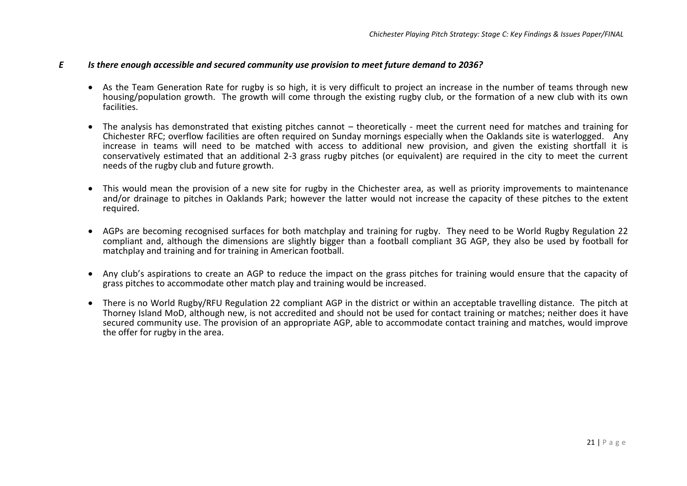#### *E Is there enough accessible and secured community use provision to meet future demand to 2036?*

- As the Team Generation Rate for rugby is so high, it is very difficult to project an increase in the number of teams through new housing/population growth. The growth will come through the existing rugby club, or the formation of a new club with its own facilities.
- The analysis has demonstrated that existing pitches cannot theoretically meet the current need for matches and training for Chichester RFC; overflow facilities are often required on Sunday mornings especially when the Oaklands site is waterlogged. Any increase in teams will need to be matched with access to additional new provision, and given the existing shortfall it is conservatively estimated that an additional 2-3 grass rugby pitches (or equivalent) are required in the city to meet the current needs of the rugby club and future growth.
- This would mean the provision of a new site for rugby in the Chichester area, as well as priority improvements to maintenance and/or drainage to pitches in Oaklands Park; however the latter would not increase the capacity of these pitches to the extent required.
- AGPs are becoming recognised surfaces for both matchplay and training for rugby. They need to be World Rugby Regulation 22 compliant and, although the dimensions are slightly bigger than a football compliant 3G AGP, they also be used by football for matchplay and training and for training in American football.
- Any club's aspirations to create an AGP to reduce the impact on the grass pitches for training would ensure that the capacity of grass pitches to accommodate other match play and training would be increased.
- There is no World Rugby/RFU Regulation 22 compliant AGP in the district or within an acceptable travelling distance. The pitch at Thorney Island MoD, although new, is not accredited and should not be used for contact training or matches; neither does it have secured community use. The provision of an appropriate AGP, able to accommodate contact training and matches, would improve the offer for rugby in the area.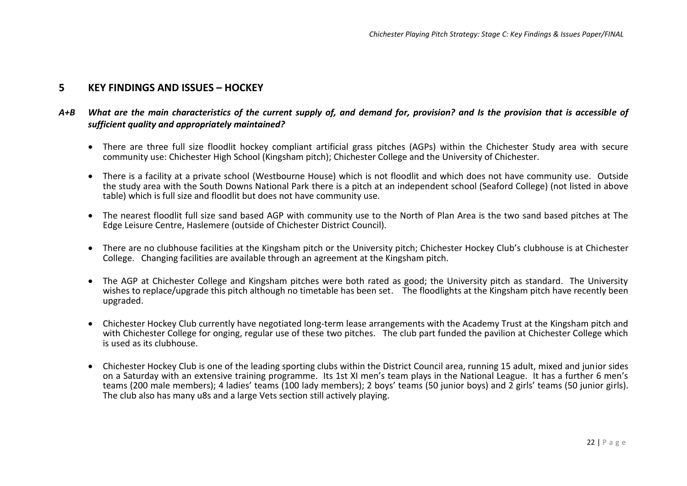## **5 KEY FINDINGS AND ISSUES – HOCKEY**

## *A+B What are the main characteristics of the current supply of, and demand for, provision? and Is the provision that is accessible of sufficient quality and appropriately maintained?*

- There are three full size floodlit hockey compliant artificial grass pitches (AGPs) within the Chichester Study area with secure community use: Chichester High School (Kingsham pitch); Chichester College and the University of Chichester.
- There is a facility at a private school (Westbourne House) which is not floodlit and which does not have community use. Outside the study area with the South Downs National Park there is a pitch at an independent school (Seaford College) (not listed in above table) which is full size and floodlit but does not have community use.
- The nearest floodlit full size sand based AGP with community use to the North of Plan Area is the two sand based pitches at The Edge Leisure Centre, Haslemere (outside of Chichester District Council).
- There are no clubhouse facilities at the Kingsham pitch or the University pitch; Chichester Hockey Club's clubhouse is at Chichester College. Changing facilities are available through an agreement at the Kingsham pitch.
- The AGP at Chichester College and Kingsham pitches were both rated as good; the University pitch as standard. The University wishes to replace/upgrade this pitch although no timetable has been set. The floodlights at the Kingsham pitch have recently been upgraded.
- Chichester Hockey Club currently have negotiated long-term lease arrangements with the Academy Trust at the Kingsham pitch and with Chichester College for onging, regular use of these two pitches. The club part funded the pavilion at Chichester College which is used as its clubhouse.
- Chichester Hockey Club is one of the leading sporting clubs within the District Council area, running 15 adult, mixed and junior sides on a Saturday with an extensive training programme. Its 1st XI men's team plays in the National League. It has a further 6 men's teams (200 male members); 4 ladies' teams (100 lady members); 2 boys' teams (50 junior boys) and 2 girls' teams (50 junior girls). The club also has many u8s and a large Vets section still actively playing.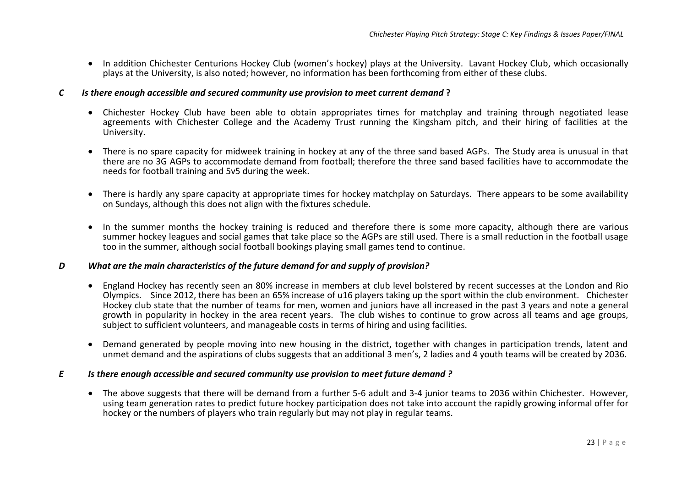• In addition Chichester Centurions Hockey Club (women's hockey) plays at the University. Lavant Hockey Club, which occasionally plays at the University, is also noted; however, no information has been forthcoming from either of these clubs.

#### *C Is there enough accessible and secured community use provision to meet current demand* **?**

- Chichester Hockey Club have been able to obtain appropriates times for matchplay and training through negotiated lease agreements with Chichester College and the Academy Trust running the Kingsham pitch, and their hiring of facilities at the University.
- There is no spare capacity for midweek training in hockey at any of the three sand based AGPs. The Study area is unusual in that there are no 3G AGPs to accommodate demand from football; therefore the three sand based facilities have to accommodate the needs for football training and 5v5 during the week.
- There is hardly any spare capacity at appropriate times for hockey matchplay on Saturdays. There appears to be some availability on Sundays, although this does not align with the fixtures schedule.
- In the summer months the hockey training is reduced and therefore there is some more capacity, although there are various summer hockey leagues and social games that take place so the AGPs are still used. There is a small reduction in the football usage too in the summer, although social football bookings playing small games tend to continue.

#### *D What are the main characteristics of the future demand for and supply of provision?*

- England Hockey has recently seen an 80% increase in members at club level bolstered by recent successes at the London and Rio Olympics. Since 2012, there has been an 65% increase of u16 players taking up the sport within the club environment. Chichester Hockey club state that the number of teams for men, women and juniors have all increased in the past 3 years and note a general growth in popularity in hockey in the area recent years. The club wishes to continue to grow across all teams and age groups, subject to sufficient volunteers, and manageable costs in terms of hiring and using facilities.
- Demand generated by people moving into new housing in the district, together with changes in participation trends, latent and unmet demand and the aspirations of clubs suggests that an additional 3 men's, 2 ladies and 4 youth teams will be created by 2036.

#### *E Is there enough accessible and secured community use provision to meet future demand ?*

• The above suggests that there will be demand from a further 5-6 adult and 3-4 junior teams to 2036 within Chichester. However, using team generation rates to predict future hockey participation does not take into account the rapidly growing informal offer for hockey or the numbers of players who train regularly but may not play in regular teams.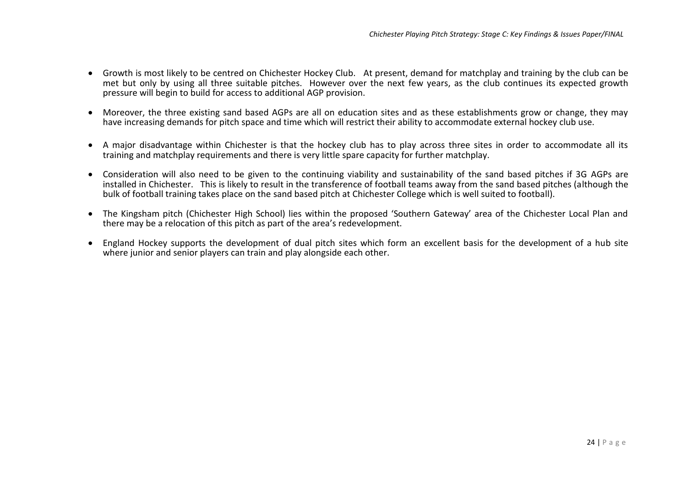- Growth is most likely to be centred on Chichester Hockey Club. At present, demand for matchplay and training by the club can be met but only by using all three suitable pitches. However over the next few years, as the club continues its expected growth pressure will begin to build for access to additional AGP provision.
- Moreover, the three existing sand based AGPs are all on education sites and as these establishments grow or change, they may have increasing demands for pitch space and time which will restrict their ability to accommodate external hockey club use.
- A major disadvantage within Chichester is that the hockey club has to play across three sites in order to accommodate all its training and matchplay requirements and there is very little spare capacity for further matchplay.
- Consideration will also need to be given to the continuing viability and sustainability of the sand based pitches if 3G AGPs are installed in Chichester. This is likely to result in the transference of football teams away from the sand based pitches (although the bulk of football training takes place on the sand based pitch at Chichester College which is well suited to football).
- The Kingsham pitch (Chichester High School) lies within the proposed 'Southern Gateway' area of the Chichester Local Plan and there may be a relocation of this pitch as part of the area's redevelopment.
- England Hockey supports the development of dual pitch sites which form an excellent basis for the development of a hub site where junior and senior players can train and play alongside each other.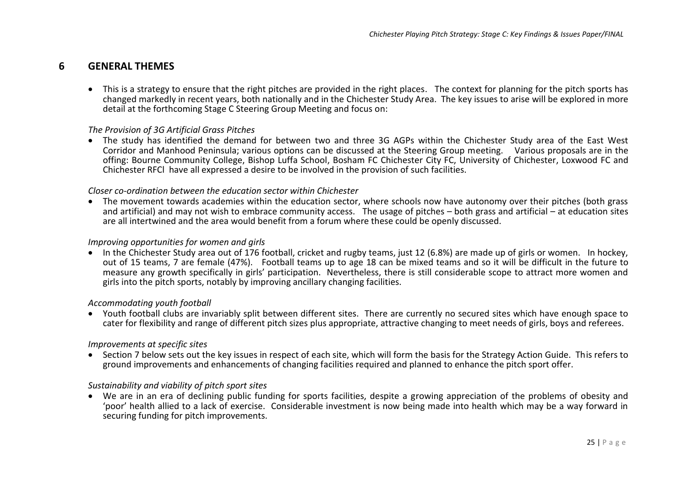## **6 GENERAL THEMES**

• This is a strategy to ensure that the right pitches are provided in the right places. The context for planning for the pitch sports has changed markedly in recent years, both nationally and in the Chichester Study Area. The key issues to arise will be explored in more detail at the forthcoming Stage C Steering Group Meeting and focus on:

#### *The Provision of 3G Artificial Grass Pitches*

• The study has identified the demand for between two and three 3G AGPs within the Chichester Study area of the East West Corridor and Manhood Peninsula; various options can be discussed at the Steering Group meeting. Various proposals are in the offing: Bourne Community College, Bishop Luffa School, Bosham FC Chichester City FC, University of Chichester, Loxwood FC and Chichester RFCl have all expressed a desire to be involved in the provision of such facilities.

#### *Closer co-ordination between the education sector within Chichester*

• The movement towards academies within the education sector, where schools now have autonomy over their pitches (both grass and artificial) and may not wish to embrace community access. The usage of pitches – both grass and artificial – at education sites are all intertwined and the area would benefit from a forum where these could be openly discussed.

#### *Improving opportunities for women and girls*

• In the Chichester Study area out of 176 football, cricket and rugby teams, just 12 (6.8%) are made up of girls or women. In hockey, out of 15 teams, 7 are female (47%). Football teams up to age 18 can be mixed teams and so it will be difficult in the future to measure any growth specifically in girls' participation. Nevertheless, there is still considerable scope to attract more women and girls into the pitch sports, notably by improving ancillary changing facilities.

#### *Accommodating youth football*

• Youth football clubs are invariably split between different sites. There are currently no secured sites which have enough space to cater for flexibility and range of different pitch sizes plus appropriate, attractive changing to meet needs of girls, boys and referees.

#### *Improvements at specific sites*

• Section 7 below sets out the key issues in respect of each site, which will form the basis for the Strategy Action Guide. This refers to ground improvements and enhancements of changing facilities required and planned to enhance the pitch sport offer.

#### *Sustainability and viability of pitch sport sites*

• We are in an era of declining public funding for sports facilities, despite a growing appreciation of the problems of obesity and 'poor' health allied to a lack of exercise. Considerable investment is now being made into health which may be a way forward in securing funding for pitch improvements.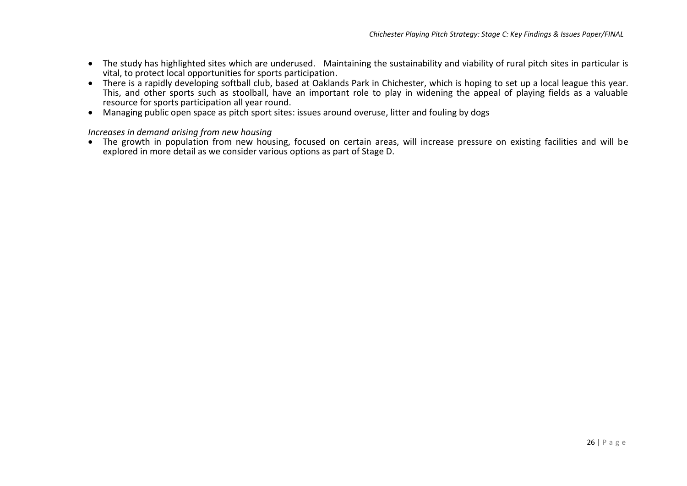- The study has highlighted sites which are underused. Maintaining the sustainability and viability of rural pitch sites in particular is vital, to protect local opportunities for sports participation.
- There is a rapidly developing softball club, based at Oaklands Park in Chichester, which is hoping to set up a local league this year. This, and other sports such as stoolball, have an important role to play in widening the appeal of playing fields as a valuable resource for sports participation all year round.
- Managing public open space as pitch sport sites: issues around overuse, litter and fouling by dogs

#### *Increases in demand arising from new housing*

• The growth in population from new housing, focused on certain areas, will increase pressure on existing facilities and will be explored in more detail as we consider various options as part of Stage D.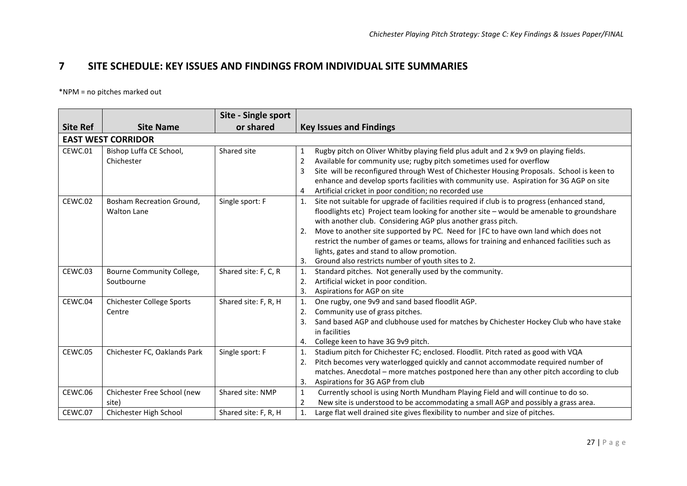## **7 SITE SCHEDULE: KEY ISSUES AND FINDINGS FROM INDIVIDUAL SITE SUMMARIES**

\*NPM = no pitches marked out

|                 |                                                 | Site - Single sport  |                                                                                                                                                                                                                                                                                                                                                                                                                                                                                                                                                                     |
|-----------------|-------------------------------------------------|----------------------|---------------------------------------------------------------------------------------------------------------------------------------------------------------------------------------------------------------------------------------------------------------------------------------------------------------------------------------------------------------------------------------------------------------------------------------------------------------------------------------------------------------------------------------------------------------------|
| <b>Site Ref</b> | <b>Site Name</b>                                | or shared            | <b>Key Issues and Findings</b>                                                                                                                                                                                                                                                                                                                                                                                                                                                                                                                                      |
|                 | <b>EAST WEST CORRIDOR</b>                       |                      |                                                                                                                                                                                                                                                                                                                                                                                                                                                                                                                                                                     |
| CEWC.01         | Bishop Luffa CE School,<br>Chichester           | Shared site          | Rugby pitch on Oliver Whitby playing field plus adult and 2 x 9v9 on playing fields.<br>1<br>2<br>Available for community use; rugby pitch sometimes used for overflow<br>Site will be reconfigured through West of Chichester Housing Proposals. School is keen to<br>3<br>enhance and develop sports facilities with community use. Aspiration for 3G AGP on site<br>Artificial cricket in poor condition; no recorded use<br>4                                                                                                                                   |
| CEWC.02         | Bosham Recreation Ground,<br><b>Walton Lane</b> | Single sport: F      | Site not suitable for upgrade of facilities required if club is to progress (enhanced stand,<br>1.<br>floodlights etc) Project team looking for another site - would be amenable to groundshare<br>with another club. Considering AGP plus another grass pitch.<br>Move to another site supported by PC. Need for  FC to have own land which does not<br>2.<br>restrict the number of games or teams, allows for training and enhanced facilities such as<br>lights, gates and stand to allow promotion.<br>Ground also restricts number of youth sites to 2.<br>3. |
| CEWC.03         | Bourne Community College,<br>Soutbourne         | Shared site: F, C, R | Standard pitches. Not generally used by the community.<br>1.<br>Artificial wicket in poor condition.<br>2.<br>Aspirations for AGP on site<br>3.                                                                                                                                                                                                                                                                                                                                                                                                                     |
| CEWC.04         | <b>Chichester College Sports</b><br>Centre      | Shared site: F, R, H | One rugby, one 9v9 and sand based floodlit AGP.<br>$\mathbf{1}$ .<br>Community use of grass pitches.<br>2.<br>Sand based AGP and clubhouse used for matches by Chichester Hockey Club who have stake<br>3.<br>in facilities<br>College keen to have 3G 9v9 pitch.<br>4.                                                                                                                                                                                                                                                                                             |
| CEWC.05         | Chichester FC, Oaklands Park                    | Single sport: F      | Stadium pitch for Chichester FC; enclosed. Floodlit. Pitch rated as good with VQA<br>1.<br>Pitch becomes very waterlogged quickly and cannot accommodate required number of<br>2.<br>matches. Anecdotal - more matches postponed here than any other pitch according to club<br>Aspirations for 3G AGP from club<br>3.                                                                                                                                                                                                                                              |
| CEWC.06         | Chichester Free School (new<br>site)            | Shared site: NMP     | Currently school is using North Mundham Playing Field and will continue to do so.<br>$\mathbf{1}$<br>New site is understood to be accommodating a small AGP and possibly a grass area.<br>$\overline{2}$                                                                                                                                                                                                                                                                                                                                                            |
| CEWC.07         | Chichester High School                          | Shared site: F, R, H | Large flat well drained site gives flexibility to number and size of pitches.                                                                                                                                                                                                                                                                                                                                                                                                                                                                                       |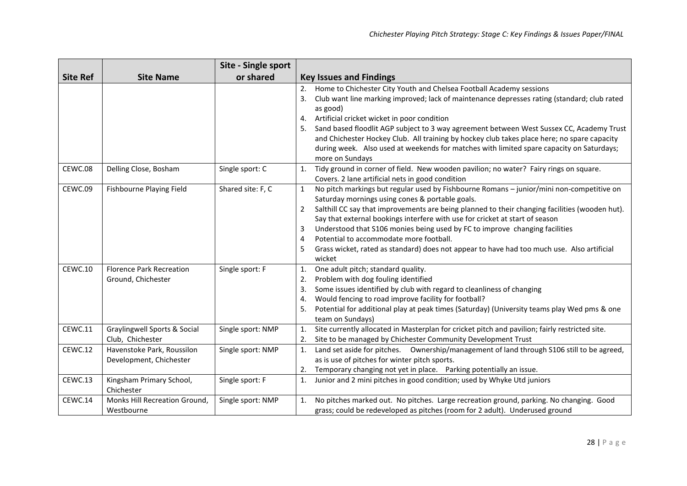|                    |                                                                                   | Site - Single sport                  |                                                                                                                                                                                                                                                                                                                                                                                                                                                                                                                                                                                                                                                                                                      |
|--------------------|-----------------------------------------------------------------------------------|--------------------------------------|------------------------------------------------------------------------------------------------------------------------------------------------------------------------------------------------------------------------------------------------------------------------------------------------------------------------------------------------------------------------------------------------------------------------------------------------------------------------------------------------------------------------------------------------------------------------------------------------------------------------------------------------------------------------------------------------------|
| <b>Site Ref</b>    | <b>Site Name</b>                                                                  | or shared                            | <b>Key Issues and Findings</b>                                                                                                                                                                                                                                                                                                                                                                                                                                                                                                                                                                                                                                                                       |
| CEWC.08            | Delling Close, Bosham                                                             | Single sport: C                      | Home to Chichester City Youth and Chelsea Football Academy sessions<br>2.<br>Club want line marking improved; lack of maintenance depresses rating (standard; club rated<br>3.<br>as good)<br>Artificial cricket wicket in poor condition<br>4.<br>Sand based floodlit AGP subject to 3 way agreement between West Sussex CC, Academy Trust<br>5.<br>and Chichester Hockey Club. All training by hockey club takes place here; no spare capacity<br>during week. Also used at weekends for matches with limited spare capacity on Saturdays;<br>more on Sundays<br>Tidy ground in corner of field. New wooden pavilion; no water? Fairy rings on square.<br>1.                                       |
|                    |                                                                                   |                                      | Covers. 2 lane artificial nets in good condition                                                                                                                                                                                                                                                                                                                                                                                                                                                                                                                                                                                                                                                     |
| CEWC.09<br>CEWC.10 | Fishbourne Playing Field<br><b>Florence Park Recreation</b><br>Ground, Chichester | Shared site: F, C<br>Single sport: F | No pitch markings but regular used by Fishbourne Romans - junior/mini non-competitive on<br>$\mathbf{1}$<br>Saturday mornings using cones & portable goals.<br>$\overline{2}$<br>Salthill CC say that improvements are being planned to their changing facilities (wooden hut).<br>Say that external bookings interfere with use for cricket at start of season<br>Understood that S106 monies being used by FC to improve changing facilities<br>3<br>Potential to accommodate more football.<br>4<br>Grass wicket, rated as standard) does not appear to have had too much use. Also artificial<br>wicket<br>One adult pitch; standard quality.<br>1.<br>Problem with dog fouling identified<br>2. |
|                    |                                                                                   |                                      | Some issues identified by club with regard to cleanliness of changing<br>3.<br>Would fencing to road improve facility for football?<br>4.<br>Potential for additional play at peak times (Saturday) (University teams play Wed pms & one<br>5.<br>team on Sundays)                                                                                                                                                                                                                                                                                                                                                                                                                                   |
| CEWC.11            | Graylingwell Sports & Social<br>Club, Chichester                                  | Single sport: NMP                    | Site currently allocated in Masterplan for cricket pitch and pavilion; fairly restricted site.<br>1.<br>Site to be managed by Chichester Community Development Trust<br>2.                                                                                                                                                                                                                                                                                                                                                                                                                                                                                                                           |
| CEWC.12            | Havenstoke Park, Roussilon<br>Development, Chichester                             | Single sport: NMP                    | Land set aside for pitches. Ownership/management of land through S106 still to be agreed,<br>1.<br>as is use of pitches for winter pitch sports.<br>Temporary changing not yet in place. Parking potentially an issue.<br>2.                                                                                                                                                                                                                                                                                                                                                                                                                                                                         |
| CEWC.13            | Kingsham Primary School,<br>Chichester                                            | Single sport: F                      | Junior and 2 mini pitches in good condition; used by Whyke Utd juniors<br>1.                                                                                                                                                                                                                                                                                                                                                                                                                                                                                                                                                                                                                         |
| CEWC.14            | Monks Hill Recreation Ground,<br>Westbourne                                       | Single sport: NMP                    | No pitches marked out. No pitches. Large recreation ground, parking. No changing. Good<br>1.<br>grass; could be redeveloped as pitches (room for 2 adult). Underused ground                                                                                                                                                                                                                                                                                                                                                                                                                                                                                                                          |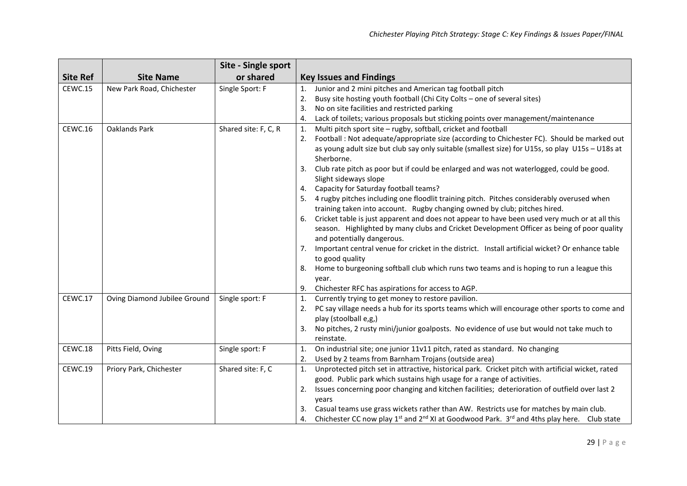|                 |                              | Site - Single sport  |                                                                                                                          |
|-----------------|------------------------------|----------------------|--------------------------------------------------------------------------------------------------------------------------|
| <b>Site Ref</b> | <b>Site Name</b>             | or shared            | <b>Key Issues and Findings</b>                                                                                           |
| CEWC.15         | New Park Road, Chichester    | Single Sport: F      | Junior and 2 mini pitches and American tag football pitch<br>1.                                                          |
|                 |                              |                      | Busy site hosting youth football (Chi City Colts - one of several sites)<br>2.                                           |
|                 |                              |                      | No on site facilities and restricted parking<br>3.                                                                       |
|                 |                              |                      | Lack of toilets; various proposals but sticking points over management/maintenance<br>4.                                 |
| CEWC.16         | Oaklands Park                | Shared site: F, C, R | Multi pitch sport site - rugby, softball, cricket and football<br>1.                                                     |
|                 |                              |                      | Football : Not adequate/appropriate size (according to Chichester FC). Should be marked out<br>2.                        |
|                 |                              |                      | as young adult size but club say only suitable (smallest size) for U15s, so play U15s - U18s at                          |
|                 |                              |                      | Sherborne.                                                                                                               |
|                 |                              |                      | Club rate pitch as poor but if could be enlarged and was not waterlogged, could be good.<br>3.                           |
|                 |                              |                      | Slight sideways slope                                                                                                    |
|                 |                              |                      | 4. Capacity for Saturday football teams?                                                                                 |
|                 |                              |                      | 5. 4 rugby pitches including one floodlit training pitch. Pitches considerably overused when                             |
|                 |                              |                      | training taken into account. Rugby changing owned by club; pitches hired.                                                |
|                 |                              |                      | 6. Cricket table is just apparent and does not appear to have been used very much or at all this                         |
|                 |                              |                      | season. Highlighted by many clubs and Cricket Development Officer as being of poor quality<br>and potentially dangerous. |
|                 |                              |                      | 7. Important central venue for cricket in the district. Install artificial wicket? Or enhance table                      |
|                 |                              |                      | to good quality                                                                                                          |
|                 |                              |                      | 8. Home to burgeoning softball club which runs two teams and is hoping to run a league this                              |
|                 |                              |                      | year.                                                                                                                    |
|                 |                              |                      | 9. Chichester RFC has aspirations for access to AGP.                                                                     |
| CEWC.17         | Oving Diamond Jubilee Ground | Single sport: F      | Currently trying to get money to restore pavilion.<br>1.                                                                 |
|                 |                              |                      | PC say village needs a hub for its sports teams which will encourage other sports to come and<br>2.                      |
|                 |                              |                      | play (stoolball e,g,)                                                                                                    |
|                 |                              |                      | No pitches, 2 rusty mini/junior goalposts. No evidence of use but would not take much to<br>3.                           |
|                 |                              |                      | reinstate.                                                                                                               |
| CEWC.18         | Pitts Field, Oving           | Single sport: F      | On industrial site; one junior 11v11 pitch, rated as standard. No changing<br>1.                                         |
|                 |                              |                      | Used by 2 teams from Barnham Trojans (outside area)<br>2.                                                                |
| CEWC.19         | Priory Park, Chichester      | Shared site: F, C    | Unprotected pitch set in attractive, historical park. Cricket pitch with artificial wicket, rated<br>1.                  |
|                 |                              |                      | good. Public park which sustains high usage for a range of activities.                                                   |
|                 |                              |                      | Issues concerning poor changing and kitchen facilities; deterioration of outfield over last 2<br>2.                      |
|                 |                              |                      | years                                                                                                                    |
|                 |                              |                      | 3. Casual teams use grass wickets rather than AW. Restricts use for matches by main club.                                |
|                 |                              |                      | 4. Chichester CC now play $1^{st}$ and $2^{nd}$ XI at Goodwood Park. $3^{rd}$ and 4ths play here. Club state             |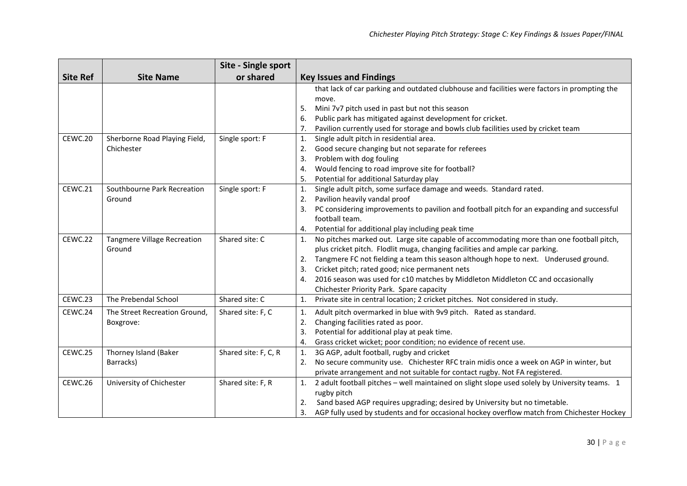|                 |                                    | Site - Single sport  |                                                                                                     |
|-----------------|------------------------------------|----------------------|-----------------------------------------------------------------------------------------------------|
| <b>Site Ref</b> | <b>Site Name</b>                   | or shared            | <b>Key Issues and Findings</b>                                                                      |
|                 |                                    |                      | that lack of car parking and outdated clubhouse and facilities were factors in prompting the        |
|                 |                                    |                      | move.                                                                                               |
|                 |                                    |                      | Mini 7v7 pitch used in past but not this season<br>5.                                               |
|                 |                                    |                      | Public park has mitigated against development for cricket.<br>6.                                    |
|                 |                                    |                      | Pavilion currently used for storage and bowls club facilities used by cricket team<br>7.            |
| CEWC.20         | Sherborne Road Playing Field,      | Single sport: F      | Single adult pitch in residential area.<br>1.                                                       |
|                 | Chichester                         |                      | Good secure changing but not separate for referees<br>2.                                            |
|                 |                                    |                      | Problem with dog fouling<br>3.                                                                      |
|                 |                                    |                      | Would fencing to road improve site for football?<br>4.                                              |
|                 |                                    |                      | Potential for additional Saturday play<br>5.                                                        |
| CEWC.21         | Southbourne Park Recreation        | Single sport: F      | Single adult pitch, some surface damage and weeds. Standard rated.<br>1.                            |
|                 | Ground                             |                      | Pavilion heavily vandal proof<br>2.                                                                 |
|                 |                                    |                      | PC considering improvements to pavilion and football pitch for an expanding and successful<br>3.    |
|                 |                                    |                      | football team.                                                                                      |
|                 |                                    |                      | Potential for additional play including peak time<br>4.                                             |
| CEWC.22         | <b>Tangmere Village Recreation</b> | Shared site: C       | No pitches marked out. Large site capable of accommodating more than one football pitch,<br>1.      |
|                 | Ground                             |                      | plus cricket pitch. Flodlit muga, changing facilities and ample car parking.                        |
|                 |                                    |                      | Tangmere FC not fielding a team this season although hope to next. Underused ground.<br>2.          |
|                 |                                    |                      | Cricket pitch; rated good; nice permanent nets<br>3.                                                |
|                 |                                    |                      | 2016 season was used for c10 matches by Middleton Middleton CC and occasionally<br>4.               |
|                 |                                    |                      | Chichester Priority Park. Spare capacity                                                            |
| CEWC.23         | The Prebendal School               | Shared site: C       | Private site in central location; 2 cricket pitches. Not considered in study.<br>1.                 |
| CEWC.24         | The Street Recreation Ground,      | Shared site: F, C    | Adult pitch overmarked in blue with 9v9 pitch. Rated as standard.<br>1.                             |
|                 | Boxgrove:                          |                      | Changing facilities rated as poor.<br>2.                                                            |
|                 |                                    |                      | Potential for additional play at peak time.<br>3.                                                   |
|                 |                                    |                      | Grass cricket wicket; poor condition; no evidence of recent use.<br>4.                              |
| CEWC.25         | Thorney Island (Baker              | Shared site: F, C, R | 3G AGP, adult football, rugby and cricket<br>1.                                                     |
|                 | Barracks)                          |                      | No secure community use. Chichester RFC train midis once a week on AGP in winter, but<br>2.         |
|                 |                                    |                      | private arrangement and not suitable for contact rugby. Not FA registered.                          |
| CEWC.26         | University of Chichester           | Shared site: F, R    | 2 adult football pitches - well maintained on slight slope used solely by University teams. 1<br>1. |
|                 |                                    |                      | rugby pitch                                                                                         |
|                 |                                    |                      | Sand based AGP requires upgrading; desired by University but no timetable.<br>2.                    |
|                 |                                    |                      | AGP fully used by students and for occasional hockey overflow match from Chichester Hockey<br>3.    |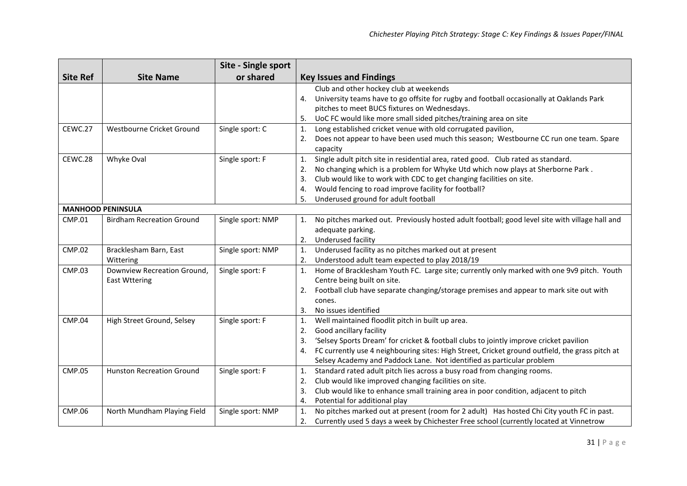|                 |                                  | Site - Single sport |                                                                                                       |
|-----------------|----------------------------------|---------------------|-------------------------------------------------------------------------------------------------------|
| <b>Site Ref</b> | <b>Site Name</b>                 | or shared           | <b>Key Issues and Findings</b>                                                                        |
|                 |                                  |                     | Club and other hockey club at weekends                                                                |
|                 |                                  |                     | University teams have to go offsite for rugby and football occasionally at Oaklands Park<br>4.        |
|                 |                                  |                     | pitches to meet BUCS fixtures on Wednesdays.                                                          |
|                 |                                  |                     | UoC FC would like more small sided pitches/training area on site<br>5.                                |
| CEWC.27         | Westbourne Cricket Ground        | Single sport: C     | Long established cricket venue with old corrugated pavilion,<br>1.                                    |
|                 |                                  |                     | Does not appear to have been used much this season; Westbourne CC run one team. Spare<br>2.           |
|                 |                                  |                     | capacity                                                                                              |
| CEWC.28         | Whyke Oval                       | Single sport: F     | Single adult pitch site in residential area, rated good. Club rated as standard.<br>1.                |
|                 |                                  |                     | No changing which is a problem for Whyke Utd which now plays at Sherborne Park.<br>2.                 |
|                 |                                  |                     | Club would like to work with CDC to get changing facilities on site.<br>3.                            |
|                 |                                  |                     | Would fencing to road improve facility for football?<br>4.                                            |
|                 |                                  |                     | Underused ground for adult football<br>5.                                                             |
|                 | <b>MANHOOD PENINSULA</b>         |                     |                                                                                                       |
| <b>CMP.01</b>   | <b>Birdham Recreation Ground</b> | Single sport: NMP   | No pitches marked out. Previously hosted adult football; good level site with village hall and<br>1.  |
|                 |                                  |                     | adequate parking.                                                                                     |
|                 |                                  |                     | Underused facility<br>2.                                                                              |
| <b>CMP.02</b>   | Bracklesham Barn, East           | Single sport: NMP   | Underused facility as no pitches marked out at present<br>1.                                          |
|                 | Wittering                        |                     | Understood adult team expected to play 2018/19<br>2.                                                  |
| <b>CMP.03</b>   | Downview Recreation Ground,      | Single sport: F     | Home of Bracklesham Youth FC. Large site; currently only marked with one 9v9 pitch. Youth<br>1.       |
|                 | <b>East Wttering</b>             |                     | Centre being built on site.                                                                           |
|                 |                                  |                     | Football club have separate changing/storage premises and appear to mark site out with<br>2.          |
|                 |                                  |                     | cones.                                                                                                |
|                 |                                  |                     | No issues identified<br>3.                                                                            |
| <b>CMP.04</b>   | High Street Ground, Selsey       | Single sport: F     | Well maintained floodlit pitch in built up area.<br>1.                                                |
|                 |                                  |                     | Good ancillary facility<br>2.                                                                         |
|                 |                                  |                     | 'Selsey Sports Dream' for cricket & football clubs to jointly improve cricket pavilion<br>3.          |
|                 |                                  |                     | FC currently use 4 neighbouring sites: High Street, Cricket ground outfield, the grass pitch at<br>4. |
|                 |                                  |                     | Selsey Academy and Paddock Lane. Not identified as particular problem                                 |
| <b>CMP.05</b>   | <b>Hunston Recreation Ground</b> | Single sport: F     | Standard rated adult pitch lies across a busy road from changing rooms.<br>1.                         |
|                 |                                  |                     | Club would like improved changing facilities on site.<br>2.                                           |
|                 |                                  |                     | Club would like to enhance small training area in poor condition, adjacent to pitch<br>3.             |
|                 |                                  |                     | Potential for additional play<br>4.                                                                   |
| <b>CMP.06</b>   | North Mundham Playing Field      | Single sport: NMP   | No pitches marked out at present (room for 2 adult) Has hosted Chi City youth FC in past.<br>1.       |
|                 |                                  |                     | Currently used 5 days a week by Chichester Free school (currently located at Vinnetrow<br>2.          |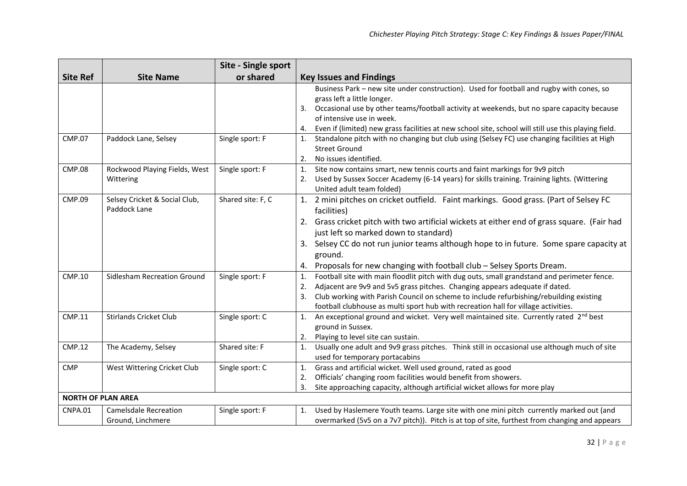|                           |                               | Site - Single sport |                                                                                                            |
|---------------------------|-------------------------------|---------------------|------------------------------------------------------------------------------------------------------------|
| <b>Site Ref</b>           | <b>Site Name</b>              | or shared           | <b>Key Issues and Findings</b>                                                                             |
|                           |                               |                     | Business Park - new site under construction). Used for football and rugby with cones, so                   |
|                           |                               |                     | grass left a little longer.                                                                                |
|                           |                               |                     | Occasional use by other teams/football activity at weekends, but no spare capacity because<br>3.           |
|                           |                               |                     | of intensive use in week.                                                                                  |
|                           |                               |                     | Even if (limited) new grass facilities at new school site, school will still use this playing field.<br>4. |
| <b>CMP.07</b>             | Paddock Lane, Selsey          | Single sport: F     | Standalone pitch with no changing but club using (Selsey FC) use changing facilities at High<br>1.         |
|                           |                               |                     | <b>Street Ground</b>                                                                                       |
|                           |                               |                     | No issues identified.<br>2.                                                                                |
| <b>CMP.08</b>             | Rockwood Playing Fields, West | Single sport: F     | Site now contains smart, new tennis courts and faint markings for 9v9 pitch<br>1.                          |
|                           | Wittering                     |                     | Used by Sussex Soccer Academy (6-14 years) for skills training. Training lights. (Wittering<br>2.          |
|                           |                               |                     | United adult team folded)                                                                                  |
| <b>CMP.09</b>             | Selsey Cricket & Social Club, | Shared site: F, C   | 1. 2 mini pitches on cricket outfield. Faint markings. Good grass. (Part of Selsey FC                      |
|                           | Paddock Lane                  |                     | facilities)                                                                                                |
|                           |                               |                     | Grass cricket pitch with two artificial wickets at either end of grass square. (Fair had<br>2.             |
|                           |                               |                     | just left so marked down to standard)                                                                      |
|                           |                               |                     | Selsey CC do not run junior teams although hope to in future. Some spare capacity at<br>3.                 |
|                           |                               |                     | ground.                                                                                                    |
|                           |                               |                     | Proposals for new changing with football club - Selsey Sports Dream.<br>4.                                 |
| <b>CMP.10</b>             | Sidlesham Recreation Ground   | Single sport: F     | Football site with main floodlit pitch with dug outs, small grandstand and perimeter fence.<br>1.          |
|                           |                               |                     | Adjacent are 9v9 and 5v5 grass pitches. Changing appears adequate if dated.<br>2.                          |
|                           |                               |                     | Club working with Parish Council on scheme to include refurbishing/rebuilding existing<br>3.               |
|                           |                               |                     | football clubhouse as multi sport hub with recreation hall for village activities.                         |
| <b>CMP.11</b>             | <b>Stirlands Cricket Club</b> | Single sport: C     | An exceptional ground and wicket. Very well maintained site. Currently rated 2 <sup>nd</sup> best<br>1.    |
|                           |                               |                     | ground in Sussex.                                                                                          |
|                           |                               |                     | Playing to level site can sustain.<br>2.                                                                   |
| <b>CMP.12</b>             | The Academy, Selsey           | Shared site: F      | Usually one adult and 9v9 grass pitches. Think still in occasional use although much of site<br>1.         |
|                           |                               |                     | used for temporary portacabins                                                                             |
| <b>CMP</b>                | West Wittering Cricket Club   | Single sport: C     | Grass and artificial wicket. Well used ground, rated as good<br>1.                                         |
|                           |                               |                     | Officials' changing room facilities would benefit from showers.<br>2.                                      |
|                           |                               |                     | Site approaching capacity, although artificial wicket allows for more play                                 |
| <b>NORTH OF PLAN AREA</b> |                               |                     |                                                                                                            |
| <b>CNPA.01</b>            | <b>Camelsdale Recreation</b>  | Single sport: F     | Used by Haslemere Youth teams. Large site with one mini pitch currently marked out (and<br>1.              |
|                           | Ground, Linchmere             |                     | overmarked (5v5 on a 7v7 pitch)). Pitch is at top of site, furthest from changing and appears              |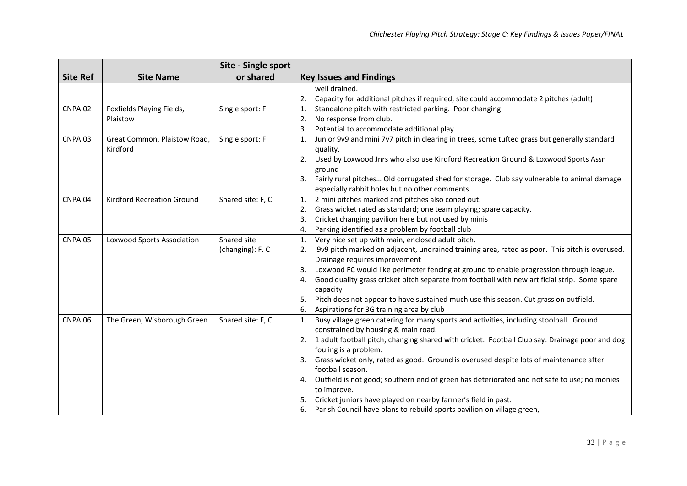|                 |                              | Site - Single sport |                                                                                                     |
|-----------------|------------------------------|---------------------|-----------------------------------------------------------------------------------------------------|
| <b>Site Ref</b> | <b>Site Name</b>             | or shared           | <b>Key Issues and Findings</b>                                                                      |
|                 |                              |                     | well drained.                                                                                       |
|                 |                              |                     | Capacity for additional pitches if required; site could accommodate 2 pitches (adult)<br>2.         |
| <b>CNPA.02</b>  | Foxfields Playing Fields,    | Single sport: F     | Standalone pitch with restricted parking. Poor changing<br>1.                                       |
|                 | Plaistow                     |                     | No response from club.<br>2.                                                                        |
|                 |                              |                     | Potential to accommodate additional play<br>3.                                                      |
| CNPA.03         | Great Common, Plaistow Road, | Single sport: F     | Junior 9v9 and mini 7v7 pitch in clearing in trees, some tufted grass but generally standard<br>1.  |
|                 | Kirdford                     |                     | quality.                                                                                            |
|                 |                              |                     | Used by Loxwood Jnrs who also use Kirdford Recreation Ground & Loxwood Sports Assn<br>2.            |
|                 |                              |                     | ground                                                                                              |
|                 |                              |                     | Fairly rural pitches Old corrugated shed for storage. Club say vulnerable to animal damage<br>3.    |
|                 |                              |                     | especially rabbit holes but no other comments. .                                                    |
| CNPA.04         | Kirdford Recreation Ground   | Shared site: F, C   | 2 mini pitches marked and pitches also coned out.<br>1.                                             |
|                 |                              |                     | 2. Grass wicket rated as standard; one team playing; spare capacity.                                |
|                 |                              |                     | 3. Cricket changing pavilion here but not used by minis                                             |
|                 |                              |                     | Parking identified as a problem by football club<br>4.                                              |
| <b>CNPA.05</b>  | Loxwood Sports Association   | Shared site         | Very nice set up with main, enclosed adult pitch.<br>$\mathbf{1}$ .                                 |
|                 |                              | (changing): F. C    | 9v9 pitch marked on adjacent, undrained training area, rated as poor. This pitch is overused.<br>2. |
|                 |                              |                     | Drainage requires improvement                                                                       |
|                 |                              |                     | Loxwood FC would like perimeter fencing at ground to enable progression through league.<br>3.       |
|                 |                              |                     | Good quality grass cricket pitch separate from football with new artificial strip. Some spare<br>4. |
|                 |                              |                     | capacity                                                                                            |
|                 |                              |                     | 5. Pitch does not appear to have sustained much use this season. Cut grass on outfield.             |
|                 |                              |                     | 6. Aspirations for 3G training area by club                                                         |
| CNPA.06         | The Green, Wisborough Green  | Shared site: F, C   | Busy village green catering for many sports and activities, including stoolball. Ground<br>1.       |
|                 |                              |                     | constrained by housing & main road.                                                                 |
|                 |                              |                     | 2. 1 adult football pitch; changing shared with cricket. Football Club say: Drainage poor and dog   |
|                 |                              |                     | fouling is a problem.                                                                               |
|                 |                              |                     | Grass wicket only, rated as good. Ground is overused despite lots of maintenance after<br>3.        |
|                 |                              |                     | football season.                                                                                    |
|                 |                              |                     | Outfield is not good; southern end of green has deteriorated and not safe to use; no monies<br>4.   |
|                 |                              |                     | to improve.                                                                                         |
|                 |                              |                     | 5. Cricket juniors have played on nearby farmer's field in past.                                    |
|                 |                              |                     | 6. Parish Council have plans to rebuild sports pavilion on village green,                           |